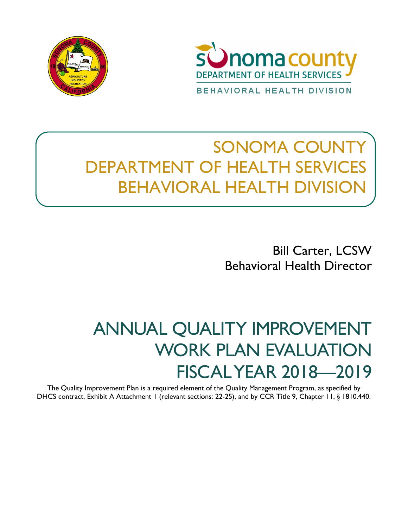



# SONOMA COUNTY DEPARTMENT OF HEALTH SERVICES BEHAVIORAL HEALTH DIVISION

Bill Carter, LCSW Behavioral Health Director

# ANNUAL QUALITY IMPROVEMENT WORK PLAN EVALUATION FISCAL YEAR 2018—2019

The Quality Improvement Plan is a required element of the Quality Management Program, as specified by DHCS contract, Exhibit A Attachment 1 (relevant sections: 22-25), and by CCR Title 9, Chapter 11, § 1810.440.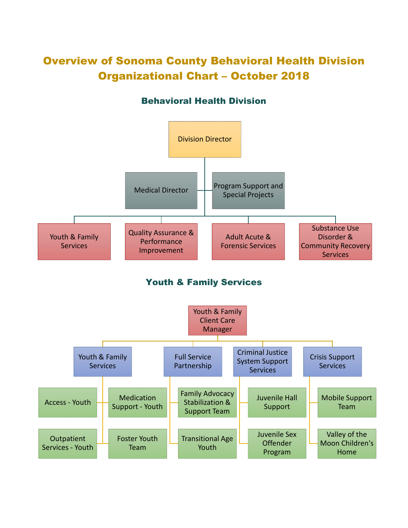# Overview of Sonoma County Behavioral Health Division Organizational Chart – October 2018

# Behavioral Health Division



Youth & Family Services

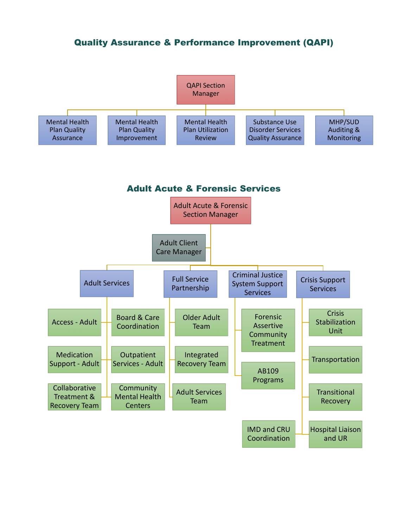# Quality Assurance & Performance Improvement (QAPI)

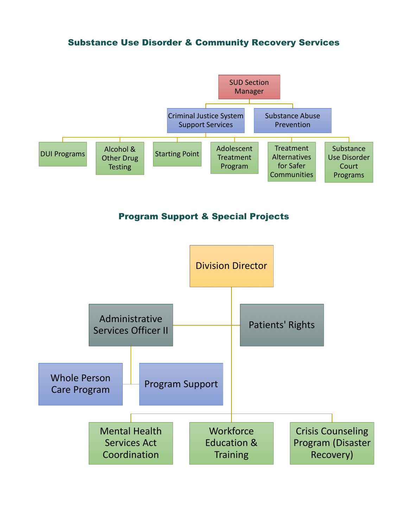# Substance Use Disorder & Community Recovery Services



# Program Support & Special Projects

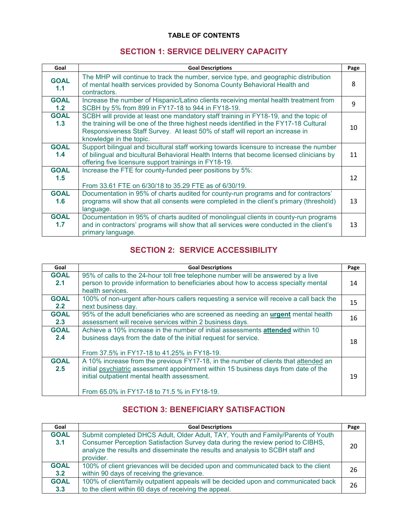# **TABLE OF CONTENTS**

# **SECTION 1: SERVICE DELIVERY CAPACITY**

| Goal               | <b>Goal Descriptions</b>                                                                                                                                                                                                                                                                   | Page |  |  |  |
|--------------------|--------------------------------------------------------------------------------------------------------------------------------------------------------------------------------------------------------------------------------------------------------------------------------------------|------|--|--|--|
| <b>GOAL</b><br>1.1 | The MHP will continue to track the number, service type, and geographic distribution<br>of mental health services provided by Sonoma County Behavioral Health and<br>contractors.                                                                                                          |      |  |  |  |
| <b>GOAL</b><br>1.2 | Increase the number of Hispanic/Latino clients receiving mental health treatment from<br>SCBH by 5% from 899 in FY17-18 to 944 in FY18-19.                                                                                                                                                 |      |  |  |  |
| <b>GOAL</b><br>1.3 | SCBH will provide at least one mandatory staff training in FY18-19, and the topic of<br>the training will be one of the three highest needs identified in the FY17-18 Cultural<br>Responsiveness Staff Survey. At least 50% of staff will report an increase in<br>knowledge in the topic. |      |  |  |  |
| <b>GOAL</b><br>1.4 | Support bilingual and bicultural staff working towards licensure to increase the number<br>of bilingual and bicultural Behavioral Health Interns that become licensed clinicians by<br>offering five licensure support trainings in FY18-19.                                               |      |  |  |  |
| <b>GOAL</b><br>1.5 | Increase the FTE for county-funded peer positions by 5%:<br>From 33.61 FTE on 6/30/18 to 35.29 FTE as of 6/30/19.                                                                                                                                                                          |      |  |  |  |
| <b>GOAL</b><br>1.6 | Documentation in 95% of charts audited for county-run programs and for contractors'<br>programs will show that all consents were completed in the client's primary (threshold)<br>language.                                                                                                | 13   |  |  |  |
| <b>GOAL</b><br>1.7 | Documentation in 95% of charts audited of monolingual clients in county-run programs<br>and in contractors' programs will show that all services were conducted in the client's<br>primary language.                                                                                       | 13   |  |  |  |

# **SECTION 2: SERVICE ACCESSIBILITY**

| Goal               | <b>Goal Descriptions</b>                                                                                                                                                                                                                                                  | Page |
|--------------------|---------------------------------------------------------------------------------------------------------------------------------------------------------------------------------------------------------------------------------------------------------------------------|------|
| <b>GOAL</b><br>2.1 | 95% of calls to the 24-hour toll free telephone number will be answered by a live<br>person to provide information to beneficiaries about how to access specialty mental<br>health services.                                                                              | 14   |
| <b>GOAL</b><br>2.2 | 100% of non-urgent after-hours callers requesting a service will receive a call back the<br>next business day.                                                                                                                                                            | 15   |
| <b>GOAL</b><br>2.3 | 95% of the adult beneficiaries who are screened as needing an <b>urgent</b> mental health<br>assessment will receive services within 2 business days.                                                                                                                     | 16   |
| <b>GOAL</b><br>2.4 | Achieve a 10% increase in the number of initial assessments attended within 10<br>business days from the date of the initial request for service.<br>From 37.5% in FY17-18 to 41.25% in FY18-19.                                                                          | 18   |
| <b>GOAL</b><br>2.5 | A 10% increase from the previous FY17-18, in the number of clients that attended an<br>initial psychiatric assessment appointment within 15 business days from date of the<br>initial outpatient mental health assessment.<br>From 65.0% in FY17-18 to 71.5 % in FY18-19. | 19   |

# **SECTION 3: BENEFICIARY SATISFACTION**

| Goal               | <b>Goal Descriptions</b>                                                                                                                                                                                                                                           |    |
|--------------------|--------------------------------------------------------------------------------------------------------------------------------------------------------------------------------------------------------------------------------------------------------------------|----|
| <b>GOAL</b><br>3.1 | Submit completed DHCS Adult, Older Adult, TAY, Youth and Family/Parents of Youth<br>Consumer Perception Satisfaction Survey data during the review period to CIBHS,<br>analyze the results and disseminate the results and analysis to SCBH staff and<br>provider. | 20 |
| <b>GOAL</b><br>3.2 | 100% of client grievances will be decided upon and communicated back to the client<br>within 90 days of receiving the grievance.                                                                                                                                   | 26 |
| <b>GOAL</b><br>3.3 | 100% of client/family outpatient appeals will be decided upon and communicated back<br>to the client within 60 days of receiving the appeal.                                                                                                                       | 26 |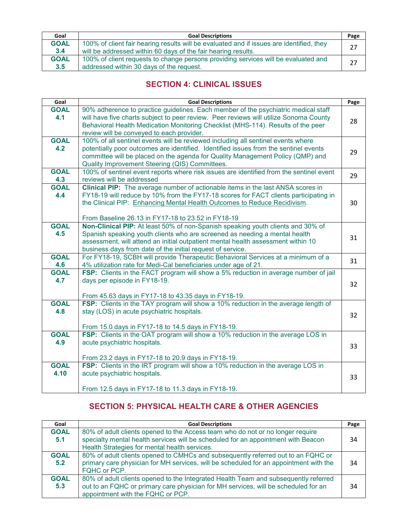| Goal               | <b>Goal Descriptions</b>                                                                                                                                  |    |  |
|--------------------|-----------------------------------------------------------------------------------------------------------------------------------------------------------|----|--|
| <b>GOAL</b><br>3.4 | 100% of client fair hearing results will be evaluated and if issues are identified, they<br>will be addressed within 60 days of the fair hearing results. | 27 |  |
| <b>GOAL</b><br>3.5 | 100% of client requests to change persons providing services will be evaluated and<br>addressed within 30 days of the request.                            |    |  |

# **SECTION 4: CLINICAL ISSUES**

| Goal                | <b>Goal Descriptions</b>                                                                                                                                                                                                                                                                                        | Page |
|---------------------|-----------------------------------------------------------------------------------------------------------------------------------------------------------------------------------------------------------------------------------------------------------------------------------------------------------------|------|
| <b>GOAL</b><br>4.1  | 90% adherence to practice guidelines. Each member of the psychiatric medical staff<br>will have five charts subject to peer review. Peer reviews will utilize Sonoma County<br>Behavioral Health Medication Monitoring Checklist (MHS-114). Results of the peer<br>review will be conveyed to each provider.    |      |
| <b>GOAL</b><br>4.2  | 100% of all sentinel events will be reviewed including all sentinel events where<br>potentially poor outcomes are identified. Identified issues from the sentinel events<br>committee will be placed on the agenda for Quality Management Policy (QMP) and<br>Quality Improvement Steering (QIS) Committees.    |      |
| <b>GOAL</b><br>4.3  | 100% of sentinel event reports where risk issues are identified from the sentinel event<br>reviews will be addressed                                                                                                                                                                                            | 29   |
| <b>GOAL</b><br>4.4  | Clinical PIP: The average number of actionable items in the last ANSA scores in<br>FY18-19 will reduce by 10% from the FY17-18 scores for FACT clients participating in<br>the Clinical PIP: Enhancing Mental Health Outcomes to Reduce Recidivism.<br>From Baseline 26.13 in FY17-18 to 23.52 in FY18-19       | 30   |
| <b>GOAL</b><br>4.5  | Non-Clinical PIP: At least 50% of non-Spanish speaking youth clients and 30% of<br>Spanish speaking youth clients who are screened as needing a mental health<br>assessment, will attend an initial outpatient mental health assessment within 10<br>business days from date of the initial request of service. |      |
| <b>GOAL</b><br>4.6  | For FY18-19, SCBH will provide Therapeutic Behavioral Services at a minimum of a<br>4% utilization rate for Medi-Cal beneficiaries under age of 21.                                                                                                                                                             | 31   |
| <b>GOAL</b><br>4.7  | FSP: Clients in the FACT program will show a 5% reduction in average number of jail<br>days per episode in FY18-19.<br>From 45.63 days in FY17-18 to 43.35 days in FY18-19.                                                                                                                                     | 32   |
| <b>GOAL</b><br>4.8  | FSP: Clients in the TAY program will show a 10% reduction in the average length of<br>stay (LOS) in acute psychiatric hospitals.<br>From 15.0 days in FY17-18 to 14.5 days in FY18-19.                                                                                                                          | 32   |
| <b>GOAL</b><br>4.9  | FSP: Clients in the OAT program will show a 10% reduction in the average LOS in<br>acute psychiatric hospitals.<br>From 23.2 days in FY17-18 to 20.9 days in FY18-19.                                                                                                                                           | 33   |
| <b>GOAL</b><br>4.10 | FSP: Clients in the IRT program will show a 10% reduction in the average LOS in<br>acute psychiatric hospitals.<br>From 12.5 days in FY17-18 to 11.3 days in FY18-19.                                                                                                                                           | 33   |

# **SECTION 5: PHYSICAL HEALTH CARE & OTHER AGENCIES**

| Goal               | <b>Goal Descriptions</b>                                                                                                                                                                                             |    |  |
|--------------------|----------------------------------------------------------------------------------------------------------------------------------------------------------------------------------------------------------------------|----|--|
| <b>GOAL</b><br>5.1 | 80% of adult clients opened to the Access team who do not or no longer require<br>specialty mental health services will be scheduled for an appointment with Beacon<br>Health Strategies for mental health services. | 34 |  |
| <b>GOAL</b><br>5.2 | 80% of adult clients opened to CMHCs and subsequently referred out to an FQHC or<br>primary care physician for MH services, will be scheduled for an appointment with the<br>FQHC or PCP.                            | 34 |  |
| <b>GOAL</b><br>5.3 | 80% of adult clients opened to the Integrated Health Team and subsequently referred<br>out to an FQHC or primary care physician for MH services, will be scheduled for an<br>appointment with the FQHC or PCP.       | 34 |  |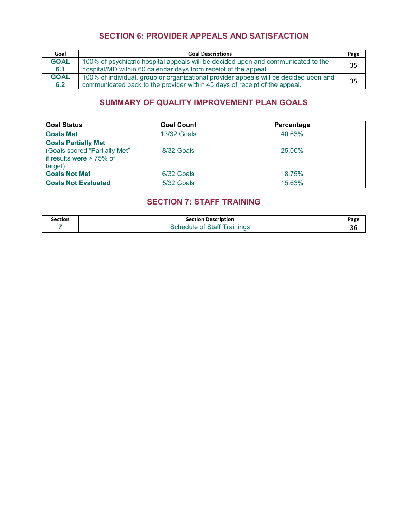# **SECTION 6: PROVIDER APPEALS AND SATISFACTION**

| Goal               | <b>Goal Descriptions</b>                                                                                                                                            |    |
|--------------------|---------------------------------------------------------------------------------------------------------------------------------------------------------------------|----|
| <b>GOAL</b><br>6.1 | 100% of psychiatric hospital appeals will be decided upon and communicated to the<br>hospital/MD within 60 calendar days from receipt of the appeal.                | 35 |
| <b>GOAL</b><br>6.2 | 100% of individual, group or organizational provider appeals will be decided upon and<br>communicated back to the provider within 45 days of receipt of the appeal. | 35 |

# **SUMMARY OF QUALITY IMPROVEMENT PLAN GOALS**

| <b>Goal Status</b>                                                                                    | <b>Goal Count</b>  | Percentage |  |
|-------------------------------------------------------------------------------------------------------|--------------------|------------|--|
| <b>Goals Met</b>                                                                                      | <b>13/32 Goals</b> | 40.63%     |  |
| <b>Goals Partially Met</b><br>(Goals scored "Partially Met"<br>if results were $> 75\%$ of<br>target) | 8/32 Goals         | 25.00%     |  |
| <b>Goals Not Met</b>                                                                                  | 6/32 Goals         | 18.75%     |  |
| <b>Goals Not Evaluated</b>                                                                            | 5/32 Goals         | 15.63%     |  |

# **SECTION 7: STAFF TRAINING**

| Section | <b>Section Description</b>         | Page |
|---------|------------------------------------|------|
|         | <b>Schedule of Staff Trainings</b> |      |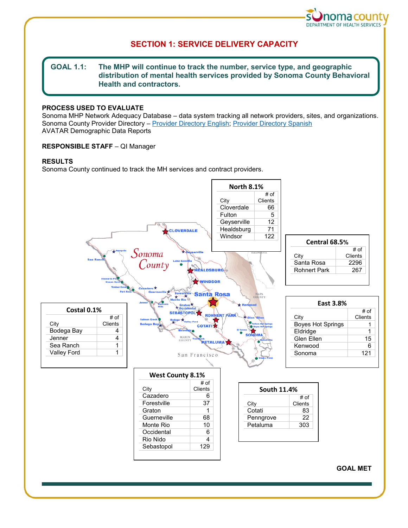

# **SECTION 1: SERVICE DELIVERY CAPACITY**

# **GOAL 1.1: The MHP will continue to track the number, service type, and geographic distribution of mental health services provided by Sonoma County Behavioral Health and contractors.**

# **PROCESS USED TO EVALUATE**

Sonoma MHP Network Adequacy Database – data system tracking all network providers, sites, and organizations. Sonoma County Provider Directory – [Provider Directory English;](http://sonomacounty.ca.gov/WorkArea/DownloadAsset.aspx?id=2147551482) [Provider Directory Spanish](http://sonomacounty.ca.gov/WorkArea/DownloadAsset.aspx?id=2147551483)  AVATAR Demographic Data Reports

# **RESPONSIBLE STAFF** – QI Manager

# **RESULTS**

Sonoma County continued to track the MH services and contract providers.

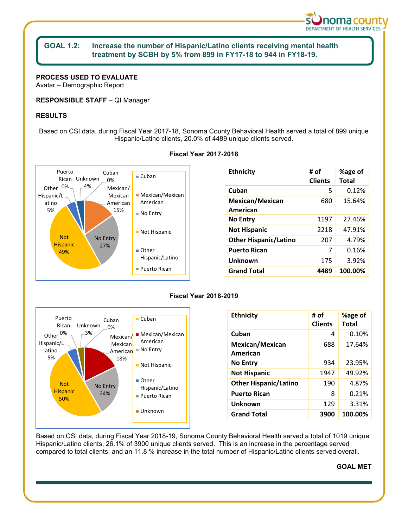

# **GOAL 1.2: Increase the number of Hispanic/Latino clients receiving mental health treatment by SCBH by 5% from 899 in FY17-18 to 944 in FY18-19.**

**PROCESS USED TO EVALUATE**  Avatar – Demographic Report

**RESPONSIBLE STAFF** – QI Manager

# **RESULTS**

Based on CSI data, during Fiscal Year 2017-18, Sonoma County Behavioral Health served a total of 899 unique Hispanic/Latino clients, 20.0% of 4489 unique clients served.



### **Fiscal Year 2017-2018**

| <b>Ethnicity</b>             | # of<br><b>Clients</b> | %age of<br><b>Total</b> |
|------------------------------|------------------------|-------------------------|
| Cuban                        | 5                      | 0.12%                   |
| Mexican/Mexican<br>American  | 680                    | 15.64%                  |
| <b>No Entry</b>              | 1197                   | 27.46%                  |
| <b>Not Hispanic</b>          | 2218                   | 47.91%                  |
| <b>Other Hispanic/Latino</b> | 207                    | 4.79%                   |
| <b>Puerto Rican</b>          | 7                      | 0.16%                   |
| Unknown                      | 175                    | 3.92%                   |
| <b>Grand Total</b>           | 4489                   | 100.00%                 |





| <b>Ethnicity</b>             | # of<br><b>Clients</b> | %age of<br>Total |
|------------------------------|------------------------|------------------|
| Cuban                        | 4                      | 0.10%            |
| Mexican/Mexican<br>American  | 688                    | 17.64%           |
| <b>No Entry</b>              | 934                    | 23.95%           |
| <b>Not Hispanic</b>          | 1947                   | 49.92%           |
| <b>Other Hispanic/Latino</b> | 190                    | 4.87%            |
| <b>Puerto Rican</b>          | 8                      | 0.21%            |
| Unknown                      | 129                    | 3.31%            |
| <b>Grand Total</b>           | 3900                   | 100.00%          |

Based on CSI data, during Fiscal Year 2018-19, Sonoma County Behavioral Health served a total of 1019 unique Hispanic/Latino clients, 26.1% of 3900 unique clients served. This is an increase in the percentage served compared to total clients, and an 11.8 % increase in the total number of Hispanic/Latino clients served overall.

### **GOAL MET**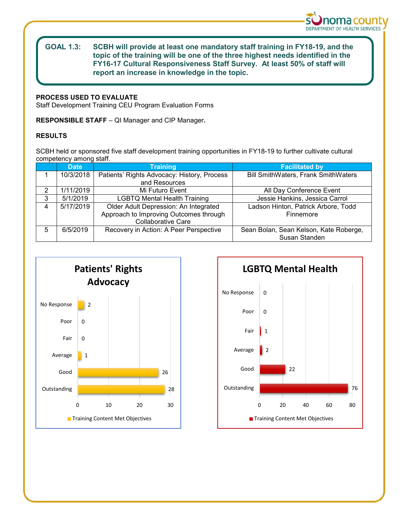

# **GOAL 1.3: SCBH will provide at least one mandatory staff training in FY18-19, and the topic of the training will be one of the three highest needs identified in the FY16-17 Cultural Responsiveness Staff Survey. At least 50% of staff will report an increase in knowledge in the topic.**

# **PROCESS USED TO EVALUATE**

Staff Development Training CEU Program Evaluation Forms

**RESPONSIBLE STAFF** – QI Manager and CIP Manager**.**

# **RESULTS**

SCBH held or sponsored five staff development training opportunities in FY18-19 to further cultivate cultural competency among staff.

|   | <b>Date</b> | <b>Training</b>                             | <b>Facilitated by</b>                      |  |
|---|-------------|---------------------------------------------|--------------------------------------------|--|
|   | 10/3/2018   | Patients' Rights Advocacy: History, Process | <b>Bill SmithWaters, Frank SmithWaters</b> |  |
|   |             | and Resources                               |                                            |  |
| 2 | 1/11/2019   | Mi Futuro Event                             | All Day Conference Event                   |  |
| 3 | 5/1/2019    | <b>LGBTQ Mental Health Training</b>         | Jessie Hankins, Jessica Carrol             |  |
| 4 | 5/17/2019   | Older Adult Depression: An Integrated       | Ladson Hinton, Patrick Arbore, Todd        |  |
|   |             | Approach to Improving Outcomes through      | Finnemore                                  |  |
|   |             | <b>Collaborative Care</b>                   |                                            |  |
| 5 | 6/5/2019    | Recovery in Action: A Peer Perspective      | Sean Bolan, Sean Kelson, Kate Roberge,     |  |
|   |             |                                             | Susan Standen                              |  |



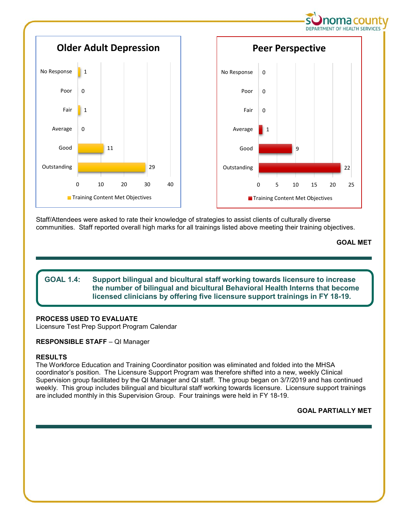

Staff/Attendees were asked to rate their knowledge of strategies to assist clients of culturally diverse communities. Staff reported overall high marks for all trainings listed above meeting their training objectives.

**GOAL MET**

# **GOAL 1.4: Support bilingual and bicultural staff working towards licensure to increase the number of bilingual and bicultural Behavioral Health Interns that become licensed clinicians by offering five licensure support trainings in FY 18-19.**

# **PROCESS USED TO EVALUATE**

Licensure Test Prep Support Program Calendar

# **RESPONSIBLE STAFF** – QI Manager

# **RESULTS**

The Workforce Education and Training Coordinator position was eliminated and folded into the MHSA coordinator's position. The Licensure Support Program was therefore shifted into a new, weekly Clinical Supervision group facilitated by the QI Manager and QI staff. The group began on 3/7/2019 and has continued weekly. This group includes bilingual and bicultural staff working towards licensure. Licensure support trainings are included monthly in this Supervision Group. Four trainings were held in FY 18-19.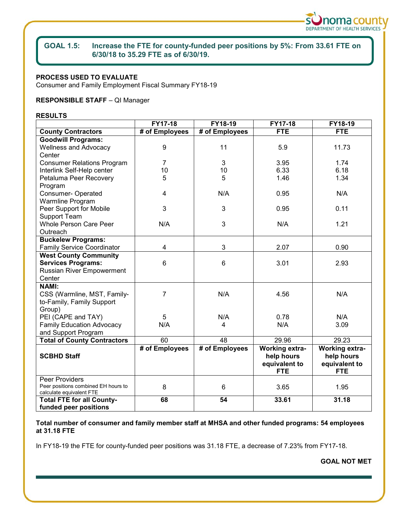

# **GOAL 1.5: Increase the FTE for county-funded peer positions by 5%: From 33.61 FTE on 6/30/18 to 35.29 FTE as of 6/30/19.**

# **PROCESS USED TO EVALUATE**

Consumer and Family Employment Fiscal Summary FY18-19

# **RESPONSIBLE STAFF** – QI Manager

### **RESULTS**

|                                                                 | FY17-18        | FY18-19        | FY17-18               | FY18-19        |
|-----------------------------------------------------------------|----------------|----------------|-----------------------|----------------|
| <b>County Contractors</b>                                       | # of Employees | # of Employees | <b>FTE</b>            | <b>FTE</b>     |
| <b>Goodwill Programs:</b>                                       |                |                |                       |                |
| <b>Wellness and Advocacy</b>                                    | 9              | 11             | 5.9                   | 11.73          |
| Center                                                          |                |                |                       |                |
| <b>Consumer Relations Program</b>                               | $\overline{7}$ | 3              | 3.95                  | 1.74           |
| Interlink Self-Help center                                      | 10             | 10             | 6.33                  | 6.18           |
| Petaluma Peer Recovery                                          | 5              | 5              | 1.46                  | 1.34           |
| Program                                                         |                |                |                       |                |
| Consumer-Operated                                               | 4              | N/A            | 0.95                  | N/A            |
| Warmline Program                                                |                |                |                       |                |
| Peer Support for Mobile                                         | 3              | 3              | 0.95                  | 0.11           |
| Support Team                                                    |                |                |                       |                |
| Whole Person Care Peer                                          | N/A            | 3              | N/A                   | 1.21           |
| Outreach                                                        |                |                |                       |                |
| <b>Buckelew Programs:</b>                                       |                |                |                       |                |
| <b>Family Service Coordinator</b>                               | 4              | 3              | 2.07                  | 0.90           |
| <b>West County Community</b>                                    |                |                |                       |                |
| <b>Services Programs:</b>                                       | 6              | 6              | 3.01                  | 2.93           |
| Russian River Empowerment                                       |                |                |                       |                |
| Center                                                          |                |                |                       |                |
| <b>NAMI:</b>                                                    |                |                |                       |                |
| CSS (Warmline, MST, Family-                                     | $\overline{7}$ | N/A            | 4.56                  | N/A            |
| to-Family, Family Support                                       |                |                |                       |                |
| Group)                                                          |                |                |                       |                |
| PEI (CAPE and TAY)                                              | 5              | N/A            | 0.78                  | N/A            |
| <b>Family Education Advocacy</b>                                | N/A            | 4              | N/A                   | 3.09           |
| and Support Program                                             |                |                |                       |                |
| <b>Total of County Contractors</b>                              | 60             | 48             | 29.96                 | 29.23          |
|                                                                 | # of Employees | # of Employees | <b>Working extra-</b> | Working extra- |
| <b>SCBHD Staff</b>                                              |                |                | help hours            | help hours     |
|                                                                 |                |                | equivalent to         | equivalent to  |
|                                                                 |                |                | <b>FTE</b>            | <b>FTE</b>     |
| <b>Peer Providers</b>                                           |                |                |                       |                |
| Peer positions combined EH hours to<br>calculate equivalent FTE | 8              | 6              | 3.65                  | 1.95           |
| <b>Total FTE for all County-</b>                                | 68             | 54             | 33.61                 | 31.18          |
| funded peer positions                                           |                |                |                       |                |

**Total number of consumer and family member staff at MHSA and other funded programs: 54 employees at 31.18 FTE**

In FY18-19 the FTE for county-funded peer positions was 31.18 FTE, a decrease of 7.23% from FY17-18.

**GOAL NOT MET**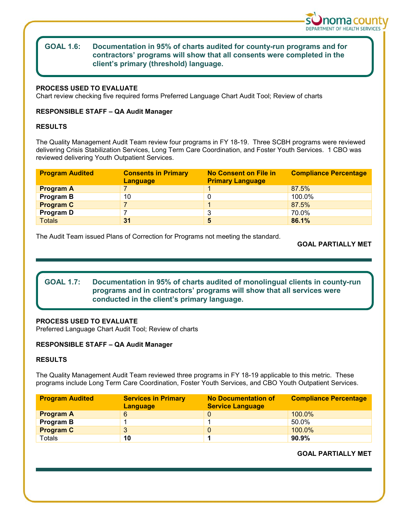

# **GOAL 1.6: Documentation in 95% of charts audited for county-run programs and for contractors' programs will show that all consents were completed in the client's primary (threshold) language.**

# **PROCESS USED TO EVALUATE**

Chart review checking five required forms Preferred Language Chart Audit Tool; Review of charts

# **RESPONSIBLE STAFF – QA Audit Manager**

# **RESULTS**

The Quality Management Audit Team review four programs in FY 18-19. Three SCBH programs were reviewed delivering Crisis Stabilization Services, Long Term Care Coordination, and Foster Youth Services. 1 CBO was reviewed delivering Youth Outpatient Services.

| <b>Program Audited</b> | <b>Consents in Primary</b><br><b>Language</b> | <b>No Consent on File in</b><br><b>Primary Language</b> | <b>Compliance Percentage</b> |
|------------------------|-----------------------------------------------|---------------------------------------------------------|------------------------------|
| <b>Program A</b>       |                                               |                                                         | 87.5%                        |
| <b>Program B</b>       | 10                                            | 0                                                       | 100.0%                       |
| <b>Program C</b>       |                                               |                                                         | 87.5%                        |
| Program D              |                                               | 3                                                       | 70.0%                        |
| <b>Totals</b>          | 31                                            | 5                                                       | 86.1%                        |

The Audit Team issued Plans of Correction for Programs not meeting the standard.

# **GOAL PARTIALLY MET**

# **GOAL 1.7: Documentation in 95% of charts audited of monolingual clients in county-run programs and in contractors' programs will show that all services were conducted in the client's primary language.**

# **PROCESS USED TO EVALUATE**

Preferred Language Chart Audit Tool; Review of charts

# **RESPONSIBLE STAFF – QA Audit Manager**

# **RESULTS**

The Quality Management Audit Team reviewed three programs in FY 18-19 applicable to this metric. These programs include Long Term Care Coordination, Foster Youth Services, and CBO Youth Outpatient Services.

| <b>Program Audited</b> | <b>Services in Primary</b><br><b>Language</b> | <b>No Documentation of</b><br><b>Service Language</b> | <b>Compliance Percentage</b> |
|------------------------|-----------------------------------------------|-------------------------------------------------------|------------------------------|
| <b>Program A</b>       | 6                                             |                                                       | $100.0\%$                    |
| <b>Program B</b>       |                                               |                                                       | 50.0%                        |
| <b>Program C</b>       |                                               |                                                       | 100.0%                       |
| Totals                 | 10                                            |                                                       | 90.9%                        |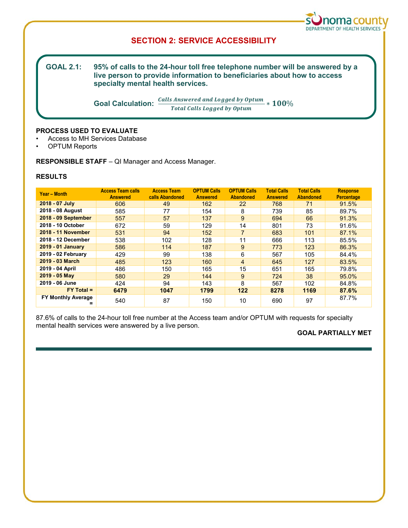

# **SECTION 2: SERVICE ACCESSIBILITY**

**GOAL 2.1:** 95% of calls to the 24-hour toll free telephone number will be answered by a **live person to provide information to beneficiaries about how to access specialty mental health services.**

> **Goal Calculation:** <u>Calls Answered and Logged by Optum</u> Total Calls Logged by Optum

### **PROCESS USED TO EVALUATE**

- Access to MH Services Database
- OPTUM Reports

**RESPONSIBLE STAFF** – QI Manager and Access Manager.

# **RESULTS**

| Year - Month                   | <b>Access Team calls</b><br><b>Answered</b> | <b>Access Team</b><br>calls Abandoned | <b>OPTUM Calls</b><br><b>Answered</b> | <b>OPTUM Calls</b><br><b>Abandoned</b> | <b>Total Calls</b><br><b>Answered</b> | <b>Total Calls</b><br><b>Abandoned</b> | <b>Response</b><br><b>Percentage</b> |
|--------------------------------|---------------------------------------------|---------------------------------------|---------------------------------------|----------------------------------------|---------------------------------------|----------------------------------------|--------------------------------------|
| 2018 - 07 July                 | 606                                         | 49                                    | 162                                   | 22                                     | 768                                   | 71                                     | 91.5%                                |
| 2018 - 08 August               | 585                                         | 77                                    | 154                                   | 8                                      | 739                                   | 85                                     | 89.7%                                |
| 2018 - 09 September            | 557                                         | 57                                    | 137                                   | 9                                      | 694                                   | 66                                     | 91.3%                                |
| 2018 - 10 October              | 672                                         | 59                                    | 129                                   | 14                                     | 801                                   | 73                                     | 91.6%                                |
| 2018 - 11 November             | 531                                         | 94                                    | 152                                   | $\overline{7}$                         | 683                                   | 101                                    | 87.1%                                |
| 2018 - 12 December             | 538                                         | 102                                   | 128                                   | 11                                     | 666                                   | 113                                    | 85.5%                                |
| 2019 - 01 January              | 586                                         | 114                                   | 187                                   | 9                                      | 773                                   | 123                                    | 86.3%                                |
| 2019 - 02 February             | 429                                         | 99                                    | 138                                   | 6                                      | 567                                   | 105                                    | 84.4%                                |
| 2019 - 03 March                | 485                                         | 123                                   | 160                                   | $\overline{4}$                         | 645                                   | 127                                    | 83.5%                                |
| 2019 - 04 April                | 486                                         | 150                                   | 165                                   | 15                                     | 651                                   | 165                                    | 79.8%                                |
| 2019 - 05 May                  | 580                                         | 29                                    | 144                                   | 9                                      | 724                                   | 38                                     | 95.0%                                |
| 2019 - 06 June                 | 424                                         | 94                                    | 143                                   | 8                                      | 567                                   | 102                                    | 84.8%                                |
| $FY$ Total =                   | 6479                                        | 1047                                  | 1799                                  | 122                                    | 8278                                  | 1169                                   | 87.6%                                |
| <b>FY Monthly Average</b><br>= | 540                                         | 87                                    | 150                                   | 10                                     | 690                                   | 97                                     | 87.7%                                |

87.6% of calls to the 24-hour toll free number at the Access team and/or OPTUM with requests for specialty mental health services were answered by a live person.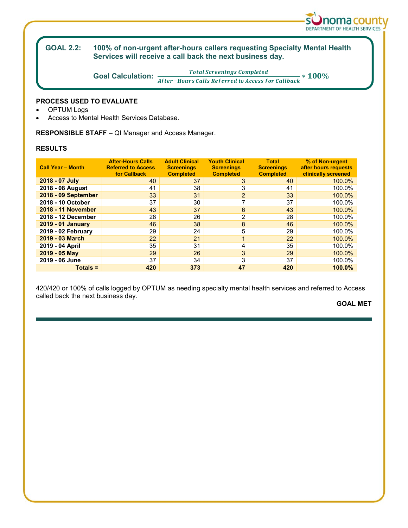

#### **GOAL 2.2: GOAL 2.2: 100% of non-urgent after-hours callers requesting Specialty Mental Health Services will receive a call back the next business day.**

**Goal Calculation:**  $\frac{Total \, Screenings \, Completed}{After-Hours \,Calls \, Referred \, to \, Access \, for \, Callback} * 100\%$ 

# **PROCESS USED TO EVALUATE**

- **OPTUM Logs**
- Access to Mental Health Services Database.

**RESPONSIBLE STAFF** – QI Manager and Access Manager.

# **RESULTS**

| <b>Call Year - Month</b> | <b>After-Hours Calls</b><br><b>Referred to Access</b><br>for Callback | <b>Adult Clinical</b><br><b>Screenings</b><br><b>Completed</b> | <b>Youth Clinical</b><br><b>Screenings</b><br><b>Completed</b> | <b>Total</b><br><b>Screenings</b><br><b>Completed</b> | % of Non-urgent<br>after hours requests<br>clinically screened |
|--------------------------|-----------------------------------------------------------------------|----------------------------------------------------------------|----------------------------------------------------------------|-------------------------------------------------------|----------------------------------------------------------------|
| 2018 - 07 July           | 40                                                                    | 37                                                             | 3                                                              | 40                                                    | 100.0%                                                         |
| 2018 - 08 August         | 41                                                                    | 38                                                             | 3                                                              | 41                                                    | 100.0%                                                         |
| 2018 - 09 September      | 33                                                                    | 31                                                             | $\overline{2}$                                                 | 33                                                    | 100.0%                                                         |
| 2018 - 10 October        | 37                                                                    | 30                                                             | $\overline{ }$                                                 | 37                                                    | 100.0%                                                         |
| 2018 - 11 November       | 43                                                                    | 37                                                             | 6                                                              | 43                                                    | 100.0%                                                         |
| 2018 - 12 December       | 28                                                                    | 26                                                             | $\overline{2}$                                                 | 28                                                    | 100.0%                                                         |
| 2019 - 01 January        | 46                                                                    | 38                                                             | 8                                                              | 46                                                    | 100.0%                                                         |
| 2019 - 02 February       | 29                                                                    | 24                                                             | 5                                                              | 29                                                    | 100.0%                                                         |
| 2019 - 03 March          | 22                                                                    | 21                                                             | 1                                                              | 22                                                    | 100.0%                                                         |
| 2019 - 04 April          | 35                                                                    | 31                                                             | 4                                                              | 35                                                    | 100.0%                                                         |
| $2019 - 05$ May          | 29                                                                    | 26                                                             | 3                                                              | 29                                                    | 100.0%                                                         |
| 2019 - 06 June           | 37                                                                    | 34                                                             | 3                                                              | 37                                                    | 100.0%                                                         |
| $Totals =$               | 420                                                                   | 373                                                            | 47                                                             | 420                                                   | 100.0%                                                         |

420/420 or 100% of calls logged by OPTUM as needing specialty mental health services and referred to Access called back the next business day.

**GOAL MET**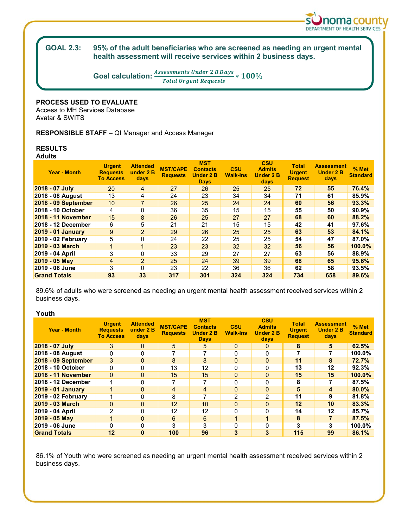

#### **GOAL 2.3:** 95% of the adult beneficiaries who are screened as needing an urgent mental **health assessment will receive services within 2 business days.**

**Goal calculation:**  $\frac{Assessments\,Under\,2\,B.Days}{Total\,Urgent\,Requests} * 100\%$ 

### **PROCESS USED TO EVALUATE**

Access to MH Services Database Avatar & SWITS

**RESPONSIBLE STAFF** – QI Manager and Access Manager

#### **RESULTS Adults**

| <b>Year - Month</b> | <b>Urgent</b><br><b>Requests</b><br><b>To Access</b> | <b>Attended</b><br>under 2 B<br>days | <b>MST/CAPE</b><br><b>Requests</b> | <b>MST</b><br><b>Contacts</b><br><b>Under 2 B</b><br><b>Days</b> | <b>CSU</b><br><b>Walk-Ins</b> | <b>CSU</b><br><b>Admits</b><br><b>Under 2 B</b><br>days | <b>Total</b><br><b>Urgent</b><br><b>Request</b> | <b>Assessment</b><br><b>Under 2 B</b><br>days | % Met<br><b>Standard</b> |
|---------------------|------------------------------------------------------|--------------------------------------|------------------------------------|------------------------------------------------------------------|-------------------------------|---------------------------------------------------------|-------------------------------------------------|-----------------------------------------------|--------------------------|
| 2018 - 07 July      | 20                                                   | $\overline{4}$                       | 27                                 | 26                                                               | 25                            | 25                                                      | 72                                              | 55                                            | 76.4%                    |
| 2018 - 08 August    | 13                                                   | 4                                    | 24                                 | 23                                                               | 34                            | 34                                                      | 71                                              | 61                                            | 85.9%                    |
| 2018 - 09 September | 10 <sup>1</sup>                                      | 7                                    | 26                                 | 25                                                               | 24                            | 24                                                      | 60                                              | 56                                            | 93.3%                    |
| 2018 - 10 October   | 4                                                    | 0                                    | 36                                 | 35                                                               | 15                            | 15                                                      | 55                                              | 50                                            | 90.9%                    |
| 2018 - 11 November  | 15                                                   | 8                                    | 26                                 | 25                                                               | 27                            | 27                                                      | 68                                              | 60                                            | 88.2%                    |
| 2018 - 12 December  | 6                                                    | 5                                    | 21                                 | 21                                                               | 15                            | 15                                                      | 42                                              | 41                                            | 97.6%                    |
| 2019 - 01 January   | 9                                                    | $\overline{2}$                       | 29                                 | 26                                                               | 25                            | 25                                                      | 63                                              | 53                                            | 84.1%                    |
| 2019 - 02 February  | 5                                                    | 0                                    | 24                                 | 22                                                               | 25                            | 25                                                      | 54                                              | 47                                            | 87.0%                    |
| 2019 - 03 March     | $\mathbf{1}$                                         |                                      | 23                                 | 23                                                               | 32                            | 32                                                      | 56                                              | 56                                            | 100.0%                   |
| 2019 - 04 April     | 3                                                    | $\Omega$                             | 33                                 | 29                                                               | 27                            | 27                                                      | 63                                              | 56                                            | 88.9%                    |
| $2019 - 05$ May     | $\overline{4}$                                       | $\overline{2}$                       | 25                                 | 24                                                               | 39                            | 39                                                      | 68                                              | 65                                            | 95.6%                    |
| 2019 - 06 June      | 3                                                    | $\Omega$                             | 23                                 | 22                                                               | 36                            | 36                                                      | 62                                              | 58                                            | 93.5%                    |
| <b>Grand Totals</b> | 93                                                   | 33                                   | 317                                | 301                                                              | 324                           | 324                                                     | 734                                             | 658                                           | 89.6%                    |

89.6% of adults who were screened as needing an urgent mental health assessment received services within 2 business days.

# **Youth**

| <b>Year - Month</b>       | <b>Urgent</b><br><b>Requests</b><br><b>To Access</b> | <b>Attended</b><br>under 2 B<br><b>days</b> | <b>MST/CAPE</b><br><b>Requests</b> | <b>MST</b><br><b>Contacts</b><br><b>Under 2 B</b><br><b>Days</b> | <b>CSU</b><br><b>Walk-Ins</b> | <b>CSU</b><br><b>Admits</b><br><b>Under 2 B</b><br>days | Total<br><b>Urgent</b><br><b>Request</b> | <b>Assessment</b><br><b>Under 2 B</b><br>days | $%$ Met<br><b>Standard</b> |
|---------------------------|------------------------------------------------------|---------------------------------------------|------------------------------------|------------------------------------------------------------------|-------------------------------|---------------------------------------------------------|------------------------------------------|-----------------------------------------------|----------------------------|
| 2018 - 07 July            | 3                                                    | 0                                           | 5                                  | 5                                                                | 0                             | $\mathbf{0}$                                            | 8                                        | 5                                             | 62.5%                      |
| 2018 - 08 August          | 0                                                    | U                                           |                                    |                                                                  | 0                             | O                                                       |                                          |                                               | 100.0%                     |
| 2018 - 09 September       | 3                                                    | $\Omega$                                    | 8                                  | 8                                                                | $\mathbf{0}$                  | $\Omega$                                                | 11                                       | 8                                             | 72.7%                      |
| 2018 - 10 October         | 0                                                    | 0                                           | 13                                 | 12                                                               | 0                             |                                                         | 13                                       | 12                                            | 92.3%                      |
| <b>2018 - 11 November</b> | $\Omega$                                             | $\Omega$                                    | 15                                 | 15                                                               | $\mathbf{0}$                  | $\Omega$                                                | 15                                       | 15                                            | 100.0%                     |
| 2018 - 12 December        |                                                      | U                                           |                                    |                                                                  | 0                             | O                                                       | 8                                        |                                               | 87.5%                      |
| <b>2019 - 01 January</b>  |                                                      | $\Omega$                                    | $\overline{4}$                     | 4                                                                | $\mathbf{0}$                  | $\Omega$                                                | 5                                        | 4                                             | 80.0%                      |
| 2019 - 02 February        |                                                      |                                             | 8                                  |                                                                  | 2                             | ົ                                                       | 11                                       | 9                                             | 81.8%                      |
| 2019 - 03 March           | $\Omega$                                             | $\Omega$                                    | 12                                 | 10                                                               | $\Omega$                      | $\Omega$                                                | 12                                       | 10                                            | 83.3%                      |
| 2019 - 04 April           | 2                                                    | O                                           | 12                                 | 12                                                               | $\Omega$                      | 0                                                       | 14                                       | 12                                            | 85.7%                      |
| 2019 - 05 May             |                                                      | $\Omega$                                    | 6                                  | 6                                                                |                               |                                                         | 8                                        |                                               | 87.5%                      |
| 2019 - 06 June            | O                                                    |                                             | 3                                  | 3                                                                | U                             |                                                         | 3                                        |                                               | 100.0%                     |
| <b>Grand Totals</b>       | 12                                                   | $\bf{0}$                                    | 100                                | 96                                                               | 3                             | 3                                                       | 115                                      | 99                                            | 86.1%                      |

86.1% of Youth who were screened as needing an urgent mental health assessment received services within 2 business days.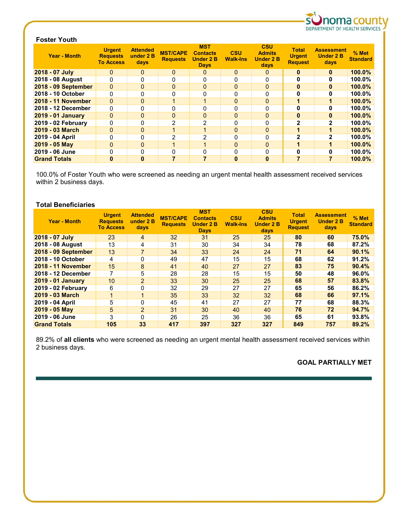

# **Foster Youth**

| <b>Year - Month</b>       | <b>Urgent</b><br><b>Requests</b><br><b>To Access</b> | <b>Attended</b><br>under 2 B<br>days | <b>MST/CAPE</b><br><b>Requests</b> | <b>MST</b><br><b>Contacts</b><br><b>Under 2 B</b><br><b>Days</b> | <b>CSU</b><br><b>Walk-Ins</b> | <b>CSU</b><br><b>Admits</b><br><b>Under 2 B</b><br>days | <b>Total</b><br><b>Urgent</b><br><b>Request</b> | <b>Assessment</b><br><b>Under 2 B</b><br>days | $%$ Met<br><b>Standard</b> |
|---------------------------|------------------------------------------------------|--------------------------------------|------------------------------------|------------------------------------------------------------------|-------------------------------|---------------------------------------------------------|-------------------------------------------------|-----------------------------------------------|----------------------------|
| 2018 - 07 July            | 0                                                    | $\mathbf{0}$                         | $\mathbf{0}$                       | 0                                                                | $\mathbf{0}$                  | 0                                                       | $\bf{0}$                                        | $\bf{0}$                                      | $100.0\%$                  |
| 2018 - 08 August          | n                                                    | 0                                    | 0                                  | O                                                                | 0                             |                                                         |                                                 | O                                             | 100.0%                     |
| 2018 - 09 September       | 0                                                    | $\Omega$                             | $\Omega$                           | $\Omega$                                                         | $\mathbf{0}$                  | $\Omega$                                                | $\mathbf{0}$                                    | $\bf{0}$                                      | $100.0\%$                  |
| 2018 - 10 October         | 0                                                    |                                      | $\Omega$                           |                                                                  | 0                             |                                                         |                                                 |                                               | 100.0%                     |
| 2018 - 11 November        | 0                                                    | $\Omega$                             |                                    | 1                                                                | $\mathbf{0}$                  | $\Omega$                                                |                                                 |                                               | $100.0\%$                  |
| 2018 - 12 December        | 0                                                    | O                                    | 0                                  | O                                                                | 0                             |                                                         |                                                 |                                               | $100.0\%$                  |
| <b>2019 - 01 January</b>  | 0                                                    | $\Omega$                             | $\Omega$                           | $\Omega$                                                         | $\mathbf{0}$                  | $\Omega$                                                | $\mathbf{0}$                                    | <sup>0</sup>                                  | 100.0%                     |
| <b>2019 - 02 February</b> | 0                                                    |                                      | $\overline{2}$                     | 2                                                                | 0                             |                                                         | $\mathbf{2}$                                    | 2                                             | 100.0%                     |
| 2019 - 03 March           | $\Omega$                                             | $\Omega$                             |                                    |                                                                  | $\mathbf{0}$                  | $\Omega$                                                |                                                 |                                               | $100.0\%$                  |
| 2019 - 04 April           | 0                                                    | O                                    | 2                                  | $\overline{2}$                                                   | $\Omega$                      | ŋ                                                       | $\mathbf{2}$                                    | $\mathbf{2}$                                  | $100.0\%$                  |
| 2019 - 05 May             | 0                                                    | $\mathbf{0}$                         |                                    | 1                                                                | 0                             | $\Omega$                                                |                                                 |                                               | 100.0%                     |
| 2019 - 06 June            | 0                                                    | $\Omega$                             | 0                                  | 0                                                                | 0                             | O                                                       | O                                               | 0                                             | 100.0%                     |
| <b>Grand Totals</b>       | U                                                    | $\bf{0}$                             |                                    |                                                                  | $\bf{0}$                      | $\Omega$                                                |                                                 |                                               | $100.0\%$                  |

100.0% of Foster Youth who were screened as needing an urgent mental health assessment received services within 2 business days.

# **Total Beneficiaries**

| <b>Year - Month</b>       | <b>Urgent</b><br><b>Requests</b><br><b>To Access</b> | <b>Attended</b><br>under 2 B<br>days | <b>MST/CAPE</b><br><b>Requests</b> | <b>MST</b><br><b>Contacts</b><br><b>Under 2 B</b><br><b>Days</b> | <b>CSU</b><br><b>Walk-Ins</b> | <b>CSU</b><br><b>Admits</b><br><b>Under 2 B</b><br>days | <b>Total</b><br><b>Urgent</b><br><b>Request</b> | <b>Assessment</b><br><b>Under 2 B</b><br>days | $%$ Met<br><b>Standard</b> |
|---------------------------|------------------------------------------------------|--------------------------------------|------------------------------------|------------------------------------------------------------------|-------------------------------|---------------------------------------------------------|-------------------------------------------------|-----------------------------------------------|----------------------------|
| 2018 - 07 July            | 23                                                   | 4                                    | 32                                 | 31                                                               | 25                            | 25                                                      | 80                                              | 60                                            | 75.0%                      |
| 2018 - 08 August          | 13                                                   | 4                                    | 31                                 | 30                                                               | 34                            | 34                                                      | 78                                              | 68                                            | 87.2%                      |
| 2018 - 09 September       | 13                                                   | $\overline{7}$                       | 34                                 | 33                                                               | 24                            | 24                                                      | 71                                              | 64                                            | 90.1%                      |
| 2018 - 10 October         | 4                                                    | 0                                    | 49                                 | 47                                                               | 15                            | 15                                                      | 68                                              | 62                                            | 91.2%                      |
| 2018 - 11 November        | 15                                                   | 8                                    | 41                                 | 40                                                               | 27                            | 27                                                      | 83                                              | 75                                            | 90.4%                      |
| 2018 - 12 December        |                                                      | 5                                    | 28                                 | 28                                                               | 15                            | 15                                                      | 50                                              | 48                                            | 96.0%                      |
| <b>2019 - 01 January</b>  | 10 <sup>1</sup>                                      | $2^{\circ}$                          | 33                                 | 30                                                               | 25                            | 25                                                      | 68                                              | 57                                            | 83.8%                      |
| <b>2019 - 02 February</b> | 6                                                    | 0                                    | 32                                 | 29                                                               | 27                            | 27                                                      | 65                                              | 56                                            | 86.2%                      |
| 2019 - 03 March           |                                                      |                                      | 35                                 | 33                                                               | 32                            | 32 <sub>2</sub>                                         | 68                                              | 66                                            | 97.1%                      |
| 2019 - 04 April           | 5                                                    | 0                                    | 45                                 | 41                                                               | 27                            | 27                                                      | 77                                              | 68                                            | 88.3%                      |
| $2019 - 05$ May           | 5                                                    | $\overline{2}$                       | 31                                 | 30                                                               | 40                            | 40                                                      | 76                                              | 72                                            | 94.7%                      |
| 2019 - 06 June            | 3                                                    | $\Omega$                             | 26                                 | 25                                                               | 36                            | 36                                                      | 65                                              | 61                                            | 93.8%                      |
| <b>Grand Totals</b>       | 105                                                  | 33                                   | 417                                | 397                                                              | 327                           | 327                                                     | 849                                             | 757                                           | 89.2%                      |

89.2% of **all clients** who were screened as needing an urgent mental health assessment received services within 2 business days.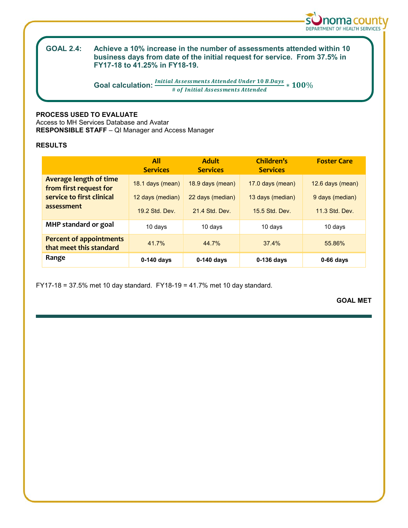

#### **GOAL 2.4: GOAL 2.4: Achieve a 10% increase in the number of assessments attended within 10 business days from date of the initial request for service. From 37.5% in FY17-18 to 41.25% in FY18-19.**

**Goal calculation:**  $\frac{Initial\ Assessments\ Attended\ Under\ 10\ B\ Days}}{4\ of\ Initial\ Assessments\ Attended} * 100\%$ 

# **PROCESS USED TO EVALUATE**

Access to MH Services Database and Avatar **RESPONSIBLE STAFF** – QI Manager and Access Manager

# **RESULTS**

|                                                           | All<br><b>Services</b> | <b>Adult</b><br><b>Services</b> | Children's<br><b>Services</b> | <b>Foster Care</b> |  |
|-----------------------------------------------------------|------------------------|---------------------------------|-------------------------------|--------------------|--|
| <b>Average length of time</b><br>from first request for   | 18.1 days (mean)       | 18.9 days (mean)                | 17.0 days (mean)              | 12.6 days (mean)   |  |
| service to first clinical                                 | 12 days (median)       | 22 days (median)                | 13 days (median)              | 9 days (median)    |  |
| assessment                                                | 19.2 Std. Dev.         | 21.4 Std. Dev.                  | 15.5 Std. Dev.                | 11.3 Std. Dev.     |  |
| MHP standard or goal                                      | 10 days                | 10 days                         | 10 days                       | 10 days            |  |
| <b>Percent of appointments</b><br>that meet this standard | 41.7%                  | 44.7%                           | 37.4%                         | 55.86%             |  |
| Range                                                     | $0-140$ days           | $0-140$ days                    | $0-136$ days                  | $0-66$ days        |  |

FY17-18 = 37.5% met 10 day standard. FY18-19 = 41.7% met 10 day standard.

**GOAL MET**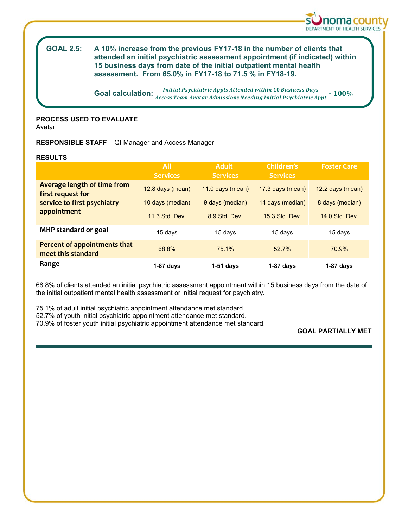

#### **GOAL 2.5: GOAL 2.5: A 10% increase from the previous FY17-18 in the number of clients that attended an initial psychiatric assessment appointment (if indicated) within 15 business days from date of the initial outpatient mental health assessment. From 65.0% in FY17-18 to 71.5 % in FY18-19.**

**Goal calculation:**  $\frac{Initial \, Psychiatric \, Appts \, Attended \, within \, 10 \, Business \, Days \, + \, 100\% \, and \, 200\% \, and \, 300\% \, and \, 400\% \, and \, 500\% \, and \, 600\% \, and \, 600\% \, and \, 600\% \, and \, 600\% \, and \, 600\% \, and \, 600\% \, and \, 600\% \, and \, 600\% \, and \, 600\% \, and \, 600\% \, and$ 

# **PROCESS USED TO EVALUATE**

Avatar

**RESPONSIBLE STAFF** – QI Manager and Access Manager

# **RESULTS**

|                                                    | <b>All</b><br><b>Services</b>      | <b>Adult</b><br><b>Services</b>  | Children's<br><b>Services</b>      | <b>Foster Care</b>                |
|----------------------------------------------------|------------------------------------|----------------------------------|------------------------------------|-----------------------------------|
| Average length of time from<br>first request for   | 12.8 days (mean)                   | 11.0 days (mean)                 | 17.3 days (mean)                   | 12.2 days (mean)                  |
| service to first psychiatry<br>appointment         | 10 days (median)<br>11.3 Std. Dev. | 9 days (median)<br>8.9 Std. Dev. | 14 days (median)<br>15.3 Std. Dev. | 8 days (median)<br>14.0 Std. Dev. |
| MHP standard or goal                               | 15 days                            | 15 days                          | 15 days                            | 15 days                           |
| Percent of appointments that<br>meet this standard | 68.8%                              | 75.1%                            | 52.7%                              | 70.9%                             |
| Range                                              | $1-87$ days                        | $1-51$ days                      | $1-87$ days                        | $1-87$ days                       |

68.8% of clients attended an initial psychiatric assessment appointment within 15 business days from the date of the initial outpatient mental health assessment or initial request for psychiatry.

75.1% of adult initial psychiatric appointment attendance met standard. 52.7% of youth initial psychiatric appointment attendance met standard.

70.9% of foster youth initial psychiatric appointment attendance met standard.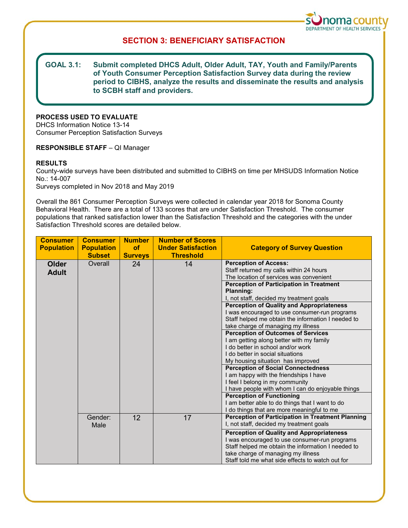

# **SECTION 3: BENEFICIARY SATISFACTION**

#### **GOAL 3.1:** Submit completed DHCS Adult, Older Adult, TAY, Youth and Family/Parents **of Youth Consumer Perception Satisfaction Survey data during the review period to CIBHS, analyze the results and disseminate the results and analysis to SCBH staff and providers.**

# **PROCESS USED TO EVALUATE**

DHCS Information Notice 13-14 Consumer Perception Satisfaction Surveys

### **RESPONSIBLE STAFF** – QI Manager

### **RESULTS**

County-wide surveys have been distributed and submitted to CIBHS on time per MHSUDS Information Notice No.: 14-007 Surveys completed in Nov 2018 and May 2019

Overall the 861 Consumer Perception Surveys were collected in calendar year 2018 for Sonoma County Behavioral Health. There are a total of 133 scores that are under Satisfaction Threshold. The consumer populations that ranked satisfaction lower than the Satisfaction Threshold and the categories with the under Satisfaction Threshold scores are detailed below.

| <b>Consumer</b><br><b>Population</b> | <b>Consumer</b><br><b>Population</b><br><b>Subset</b> | <b>Number</b><br>of<br><b>Surveys</b> | <b>Number of Scores</b><br><b>Under Satisfaction</b><br><b>Threshold</b> | <b>Category of Survey Question</b>                       |
|--------------------------------------|-------------------------------------------------------|---------------------------------------|--------------------------------------------------------------------------|----------------------------------------------------------|
| <b>Older</b>                         | Overall                                               | 24                                    | 14                                                                       | <b>Perception of Access:</b>                             |
| <b>Adult</b>                         |                                                       |                                       |                                                                          | Staff returned my calls within 24 hours                  |
|                                      |                                                       |                                       |                                                                          | The location of services was convenient                  |
|                                      |                                                       |                                       |                                                                          | <b>Perception of Participation in Treatment</b>          |
|                                      |                                                       |                                       |                                                                          | Planning:                                                |
|                                      |                                                       |                                       |                                                                          | I, not staff, decided my treatment goals                 |
|                                      |                                                       |                                       |                                                                          | <b>Perception of Quality and Appropriateness</b>         |
|                                      |                                                       |                                       |                                                                          | I was encouraged to use consumer-run programs            |
|                                      |                                                       |                                       |                                                                          | Staff helped me obtain the information I needed to       |
|                                      |                                                       |                                       |                                                                          | take charge of managing my illness                       |
|                                      |                                                       |                                       |                                                                          | <b>Perception of Outcomes of Services</b>                |
|                                      |                                                       |                                       |                                                                          | I am getting along better with my family                 |
|                                      |                                                       |                                       |                                                                          | I do better in school and/or work                        |
|                                      |                                                       |                                       |                                                                          | I do better in social situations                         |
|                                      |                                                       |                                       |                                                                          | My housing situation has improved                        |
|                                      |                                                       |                                       |                                                                          | <b>Perception of Social Connectedness</b>                |
|                                      |                                                       |                                       |                                                                          | I am happy with the friendships I have                   |
|                                      |                                                       |                                       |                                                                          | I feel I belong in my community                          |
|                                      |                                                       |                                       |                                                                          | I have people with whom I can do enjoyable things        |
|                                      |                                                       |                                       |                                                                          | <b>Perception of Functioning</b>                         |
|                                      |                                                       |                                       |                                                                          | I am better able to do things that I want to do          |
|                                      |                                                       |                                       |                                                                          | I do things that are more meaningful to me               |
|                                      | Gender:                                               | 12                                    | 17                                                                       | <b>Perception of Participation in Treatment Planning</b> |
|                                      | Male                                                  |                                       |                                                                          | I, not staff, decided my treatment goals                 |
|                                      |                                                       |                                       |                                                                          | <b>Perception of Quality and Appropriateness</b>         |
|                                      |                                                       |                                       |                                                                          | I was encouraged to use consumer-run programs            |
|                                      |                                                       |                                       |                                                                          | Staff helped me obtain the information I needed to       |
|                                      |                                                       |                                       |                                                                          | take charge of managing my illness                       |
|                                      |                                                       |                                       |                                                                          | Staff told me what side effects to watch out for         |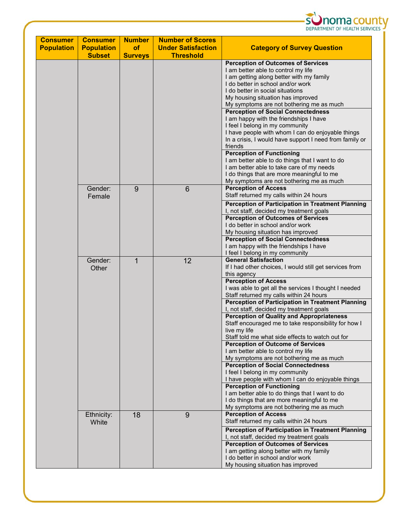

| <b>Consumer</b><br><b>Population</b> | <b>Consumer</b><br><b>Population</b> | <b>Number</b><br><b>of</b> | <b>Number of Scores</b><br><b>Under Satisfaction</b> | <b>Category of Survey Question</b>                                                                                                                                                                                                                                                                                                                                                                                                                                                                                                                                                                                                                                            |  |
|--------------------------------------|--------------------------------------|----------------------------|------------------------------------------------------|-------------------------------------------------------------------------------------------------------------------------------------------------------------------------------------------------------------------------------------------------------------------------------------------------------------------------------------------------------------------------------------------------------------------------------------------------------------------------------------------------------------------------------------------------------------------------------------------------------------------------------------------------------------------------------|--|
|                                      | <b>Subset</b>                        | <b>Surveys</b>             | <b>Threshold</b>                                     |                                                                                                                                                                                                                                                                                                                                                                                                                                                                                                                                                                                                                                                                               |  |
|                                      |                                      |                            |                                                      | <b>Perception of Outcomes of Services</b><br>I am better able to control my life<br>I am getting along better with my family<br>I do better in school and/or work<br>I do better in social situations<br>My housing situation has improved<br>My symptoms are not bothering me as much<br><b>Perception of Social Connectedness</b><br>I am happy with the friendships I have<br>I feel I belong in my community<br>I have people with whom I can do enjoyable things<br>In a crisis, I would have support I need from family or<br>friends<br><b>Perception of Functioning</b>                                                                                               |  |
|                                      |                                      |                            |                                                      | I am better able to do things that I want to do<br>I am better able to take care of my needs<br>I do things that are more meaningful to me<br>My symptoms are not bothering me as much                                                                                                                                                                                                                                                                                                                                                                                                                                                                                        |  |
|                                      | Gender:<br>Female                    | 9                          | $6\phantom{1}6$                                      | <b>Perception of Access</b><br>Staff returned my calls within 24 hours<br><b>Perception of Participation in Treatment Planning</b><br>I, not staff, decided my treatment goals<br><b>Perception of Outcomes of Services</b><br>I do better in school and/or work<br>My housing situation has improved<br><b>Perception of Social Connectedness</b>                                                                                                                                                                                                                                                                                                                            |  |
|                                      | Gender:<br>Other                     | 1                          | 12                                                   | I am happy with the friendships I have<br>I feel I belong in my community<br><b>General Satisfaction</b><br>If I had other choices, I would still get services from<br>this agency<br><b>Perception of Access</b><br>I was able to get all the services I thought I needed<br>Staff returned my calls within 24 hours<br>Perception of Participation in Treatment Planning                                                                                                                                                                                                                                                                                                    |  |
|                                      |                                      |                            |                                                      | I, not staff, decided my treatment goals<br><b>Perception of Quality and Appropriateness</b><br>Staff encouraged me to take responsibility for how I<br>live my life<br>Staff told me what side effects to watch out for<br><b>Perception of Outcome of Services</b><br>I am better able to control my life<br>My symptoms are not bothering me as much<br><b>Perception of Social Connectedness</b><br>I feel I belong in my community<br>I have people with whom I can do enjoyable things<br><b>Perception of Functioning</b><br>I am better able to do things that I want to do<br>I do things that are more meaningful to me<br>My symptoms are not bothering me as much |  |
|                                      | Ethnicity:<br>White                  | 18                         | 9                                                    | <b>Perception of Access</b><br>Staff returned my calls within 24 hours<br>Perception of Participation in Treatment Planning<br>I, not staff, decided my treatment goals<br><b>Perception of Outcomes of Services</b><br>I am getting along better with my family<br>I do better in school and/or work<br>My housing situation has improved                                                                                                                                                                                                                                                                                                                                    |  |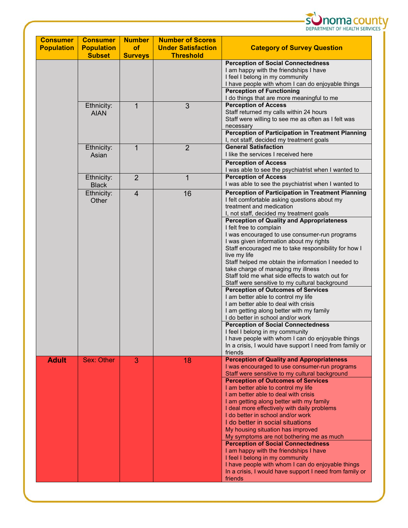

| <b>Consumer</b><br><b>Population</b> | <b>Consumer</b><br><b>Population</b><br><b>Subset</b> | <b>Number</b><br><b>of</b><br><b>Surveys</b> | <b>Number of Scores</b><br><b>Under Satisfaction</b><br><b>Threshold</b> | <b>Category of Survey Question</b>                                                                                                                                                                                                                                                                                                                                                                                                                                                                                                                                                                                                                                                                                                                                                                                                                                        |
|--------------------------------------|-------------------------------------------------------|----------------------------------------------|--------------------------------------------------------------------------|---------------------------------------------------------------------------------------------------------------------------------------------------------------------------------------------------------------------------------------------------------------------------------------------------------------------------------------------------------------------------------------------------------------------------------------------------------------------------------------------------------------------------------------------------------------------------------------------------------------------------------------------------------------------------------------------------------------------------------------------------------------------------------------------------------------------------------------------------------------------------|
|                                      |                                                       |                                              |                                                                          | <b>Perception of Social Connectedness</b><br>I am happy with the friendships I have<br>I feel I belong in my community<br>I have people with whom I can do enjoyable things<br><b>Perception of Functioning</b><br>I do things that are more meaningful to me                                                                                                                                                                                                                                                                                                                                                                                                                                                                                                                                                                                                             |
|                                      | Ethnicity:<br><b>AIAN</b>                             | $\mathbf{1}$                                 | 3                                                                        | <b>Perception of Access</b><br>Staff returned my calls within 24 hours<br>Staff were willing to see me as often as I felt was<br>necessary<br><b>Perception of Participation in Treatment Planning</b><br>I, not staff, decided my treatment goals                                                                                                                                                                                                                                                                                                                                                                                                                                                                                                                                                                                                                        |
|                                      | Ethnicity:<br>Asian                                   | $\mathbf{1}$                                 | $\overline{2}$                                                           | <b>General Satisfaction</b><br>I like the services I received here<br><b>Perception of Access</b><br>I was able to see the psychiatrist when I wanted to                                                                                                                                                                                                                                                                                                                                                                                                                                                                                                                                                                                                                                                                                                                  |
|                                      | Ethnicity:<br><b>Black</b>                            | $\overline{2}$                               | 1                                                                        | <b>Perception of Access</b><br>I was able to see the psychiatrist when I wanted to                                                                                                                                                                                                                                                                                                                                                                                                                                                                                                                                                                                                                                                                                                                                                                                        |
|                                      | Ethnicity:<br>Other                                   | $\overline{4}$                               | 16                                                                       | <b>Perception of Participation in Treatment Planning</b><br>I felt comfortable asking questions about my<br>treatment and medication<br>I, not staff, decided my treatment goals                                                                                                                                                                                                                                                                                                                                                                                                                                                                                                                                                                                                                                                                                          |
|                                      |                                                       |                                              |                                                                          | <b>Perception of Quality and Appropriateness</b><br>I felt free to complain<br>I was encouraged to use consumer-run programs<br>I was given information about my rights<br>Staff encouraged me to take responsibility for how I<br>live my life<br>Staff helped me obtain the information I needed to<br>take charge of managing my illness<br>Staff told me what side effects to watch out for<br>Staff were sensitive to my cultural background<br><b>Perception of Outcomes of Services</b><br>I am better able to control my life<br>I am better able to deal with crisis<br>I am getting along better with my family<br>I do better in school and/or work<br><b>Perception of Social Connectedness</b><br>I feel I belong in my community<br>I have people with whom I can do enjoyable things<br>In a crisis, I would have support I need from family or<br>friends |
| <b>Adult</b>                         | Sex: Other                                            | 3                                            | 18                                                                       | <b>Perception of Quality and Appropriateness</b><br>I was encouraged to use consumer-run programs<br>Staff were sensitive to my cultural background<br><b>Perception of Outcomes of Services</b><br>I am better able to control my life<br>I am better able to deal with crisis<br>I am getting along better with my family<br>I deal more effectively with daily problems<br>I do better in school and/or work<br>I do better in social situations<br>My housing situation has improved<br>My symptoms are not bothering me as much<br><b>Perception of Social Connectedness</b><br>I am happy with the friendships I have<br>I feel I belong in my community<br>I have people with whom I can do enjoyable things<br>In a crisis, I would have support I need from family or<br>friends                                                                                 |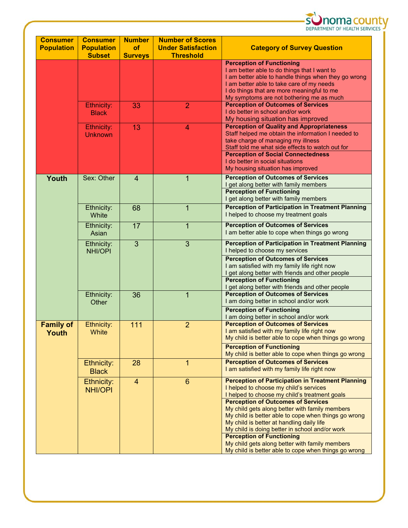

| <b>Consumer</b><br><b>Population</b> | <b>Consumer</b><br><b>Population</b> | <b>Number</b><br><b>of</b> | <b>Number of Scores</b><br><b>Under Satisfaction</b>                                                       | <b>Category of Survey Question</b>                                                                                                                                                                                                                                                                                                                                                                                                                                                              |  |
|--------------------------------------|--------------------------------------|----------------------------|------------------------------------------------------------------------------------------------------------|-------------------------------------------------------------------------------------------------------------------------------------------------------------------------------------------------------------------------------------------------------------------------------------------------------------------------------------------------------------------------------------------------------------------------------------------------------------------------------------------------|--|
|                                      | <b>Subset</b>                        | <b>Surveys</b>             | <b>Threshold</b>                                                                                           |                                                                                                                                                                                                                                                                                                                                                                                                                                                                                                 |  |
|                                      |                                      |                            |                                                                                                            | <b>Perception of Functioning</b><br>I am better able to do things that I want to<br>I am better able to handle things when they go wrong<br>I am better able to take care of my needs                                                                                                                                                                                                                                                                                                           |  |
|                                      |                                      |                            |                                                                                                            | I do things that are more meaningful to me<br>My symptoms are not bothering me as much                                                                                                                                                                                                                                                                                                                                                                                                          |  |
|                                      | Ethnicity:<br><b>Black</b>           | 33                         | $\overline{2}$                                                                                             | <b>Perception of Outcomes of Services</b><br>I do better in school and/or work<br>My housing situation has improved                                                                                                                                                                                                                                                                                                                                                                             |  |
|                                      | Ethnicity:<br><b>Unknown</b>         | 13                         | 4                                                                                                          | <b>Perception of Quality and Appropriateness</b><br>Staff helped me obtain the information I needed to<br>take charge of managing my illness<br>Staff told me what side effects to watch out for<br><b>Perception of Social Connectedness</b>                                                                                                                                                                                                                                                   |  |
|                                      |                                      |                            |                                                                                                            | I do better in social situations<br>My housing situation has improved                                                                                                                                                                                                                                                                                                                                                                                                                           |  |
| Youth                                | Sex: Other                           | $\overline{4}$             | $\mathbf{1}$                                                                                               | <b>Perception of Outcomes of Services</b><br>I get along better with family members<br><b>Perception of Functioning</b><br>I get along better with family members                                                                                                                                                                                                                                                                                                                               |  |
|                                      | Ethnicity:<br>White                  | 68                         | $\mathbf 1$                                                                                                | <b>Perception of Participation in Treatment Planning</b><br>I helped to choose my treatment goals                                                                                                                                                                                                                                                                                                                                                                                               |  |
|                                      | Ethnicity:<br>Asian                  | 17                         | <b>Perception of Outcomes of Services</b><br>$\mathbf{1}$<br>I am better able to cope when things go wrong |                                                                                                                                                                                                                                                                                                                                                                                                                                                                                                 |  |
|                                      | Ethnicity:<br><b>NHI/OPI</b>         | 3                          | 3                                                                                                          | <b>Perception of Participation in Treatment Planning</b><br>I helped to choose my services<br><b>Perception of Outcomes of Services</b><br>I am satisfied with my family life right now<br>I get along better with friends and other people<br><b>Perception of Functioning</b><br>I get along better with friends and other people                                                                                                                                                             |  |
|                                      | Ethnicity:<br>Other                  | 36                         | $\mathbf 1$                                                                                                | <b>Perception of Outcomes of Services</b><br>I am doing better in school and/or work<br><b>Perception of Functioning</b><br>I am doing better in school and/or work                                                                                                                                                                                                                                                                                                                             |  |
| <b>Family of</b><br>Youth            | Ethnicity:<br>White                  | 111                        | $\overline{2}$                                                                                             | <b>Perception of Outcomes of Services</b><br>I am satisfied with my family life right now<br>My child is better able to cope when things go wrong<br><b>Perception of Functioning</b><br>My child is better able to cope when things go wrong                                                                                                                                                                                                                                                   |  |
|                                      | Ethnicity:<br><b>Black</b>           | 28                         | $\mathbf{1}$                                                                                               | <b>Perception of Outcomes of Services</b><br>I am satisfied with my family life right now                                                                                                                                                                                                                                                                                                                                                                                                       |  |
|                                      | Ethnicity:<br><b>NHI/OPI</b>         | $\overline{4}$             | $6\phantom{1}$                                                                                             | <b>Perception of Participation in Treatment Planning</b><br>I helped to choose my child's services<br>I helped to choose my child's treatment goals<br><b>Perception of Outcomes of Services</b><br>My child gets along better with family members<br>My child is better able to cope when things go wrong<br>My child is better at handling daily life<br>My child is doing better in school and/or work<br><b>Perception of Functioning</b><br>My child gets along better with family members |  |
|                                      |                                      |                            |                                                                                                            | My child is better able to cope when things go wrong                                                                                                                                                                                                                                                                                                                                                                                                                                            |  |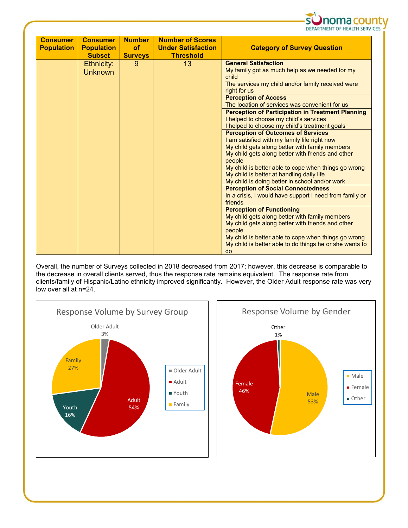

| <b>Consumer</b><br><b>Population</b> | <b>Consumer</b><br><b>Population</b><br><b>Subset</b> | <b>Number</b><br>of<br><b>Surveys</b> | <b>Number of Scores</b><br><b>Under Satisfaction</b><br><b>Threshold</b> | <b>Category of Survey Question</b>                                                                                                                                                                                                                                                                                                                                                                                                                                                                                                                                                                                                                                                                                                                                                                                                                                                                                                                                                                                                                                                                                                                                        |
|--------------------------------------|-------------------------------------------------------|---------------------------------------|--------------------------------------------------------------------------|---------------------------------------------------------------------------------------------------------------------------------------------------------------------------------------------------------------------------------------------------------------------------------------------------------------------------------------------------------------------------------------------------------------------------------------------------------------------------------------------------------------------------------------------------------------------------------------------------------------------------------------------------------------------------------------------------------------------------------------------------------------------------------------------------------------------------------------------------------------------------------------------------------------------------------------------------------------------------------------------------------------------------------------------------------------------------------------------------------------------------------------------------------------------------|
|                                      | Ethnicity:<br><b>Unknown</b>                          | 9                                     | 13                                                                       | <b>General Satisfaction</b><br>My family got as much help as we needed for my<br>child<br>The services my child and/or family received were<br>right for us<br><b>Perception of Access</b><br>The location of services was convenient for us<br><b>Perception of Participation in Treatment Planning</b><br>I helped to choose my child's services<br>I helped to choose my child's treatment goals<br><b>Perception of Outcomes of Services</b><br>I am satisfied with my family life right now<br>My child gets along better with family members<br>My child gets along better with friends and other<br>people<br>My child is better able to cope when things go wrong<br>My child is better at handling daily life<br>My child is doing better in school and/or work<br><b>Perception of Social Connectedness</b><br>In a crisis, I would have support I need from family or<br>friends<br><b>Perception of Functioning</b><br>My child gets along better with family members<br>My child gets along better with friends and other<br>people<br>My child is better able to cope when things go wrong<br>My child is better able to do things he or she wants to<br>do |

Overall, the number of Surveys collected in 2018 decreased from 2017; however, this decrease is comparable to the decrease in overall clients served, thus the response rate remains equivalent. The response rate from clients/family of Hispanic/Latino ethnicity improved significantly. However, the Older Adult response rate was very low over all at n=24.



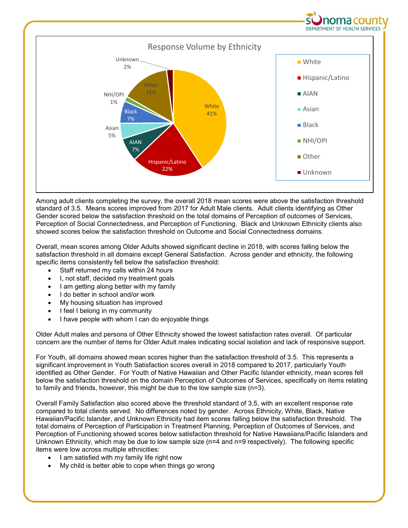

Among adult clients completing the survey, the overall 2018 mean scores were above the satisfaction threshold standard of 3.5. Means scores improved from 2017 for Adult Male clients. Adult clients identifying as Other Gender scored below the satisfaction threshold on the total domains of Perception of outcomes of Services, Perception of Social Connectedness, and Perception of Functioning. Black and Unknown Ethnicity clients also showed scores below the satisfaction threshold on Outcome and Social Connectedness domains.

Overall, mean scores among Older Adults showed significant decline in 2018, with scores falling below the satisfaction threshold in all domains except General Satisfaction. Across gender and ethnicity, the following specific items consistently fell below the satisfaction threshold:

- Staff returned my calls within 24 hours
- I, not staff, decided my treatment goals
- I am getting along better with my family
- I do better in school and/or work
- My housing situation has improved
- I feel I belong in my community
- I have people with whom I can do enjoyable things

Older Adult males and persons of Other Ethnicity showed the lowest satisfaction rates overall. Of particular concern are the number of items for Older Adult males indicating social isolation and lack of responsive support.

For Youth, all domains showed mean scores higher than the satisfaction threshold of 3.5. This represents a significant improvement in Youth Satisfaction scores overall in 2018 compared to 2017, particularly Youth identified as Other Gender. For Youth of Native Hawaiian and Other Pacific Islander ethnicity, mean scores fell below the satisfaction threshold on the domain Perception of Outcomes of Services, specifically on items relating to family and friends, however, this might be due to the low sample size (n=3).

Overall Family Satisfaction also scored above the threshold standard of 3.5, with an excellent response rate compared to total clients served. No differences noted by gender. Across Ethnicity, White, Black, Native Hawaiian/Pacific Islander, and Unknown Ethnicity had item scores falling below the satisfaction threshold. The total domains of Perception of Participation in Treatment Planning, Perception of Outcomes of Services, and Perception of Functioning showed scores below satisfaction threshold for Native Hawaiians/Pacific Islanders and Unknown Ethnicity, which may be due to low sample size (n=4 and n=9 respectively). The following specific items were low across multiple ethnicities:

- I am satisfied with my family life right now
- My child is better able to cope when things go wrong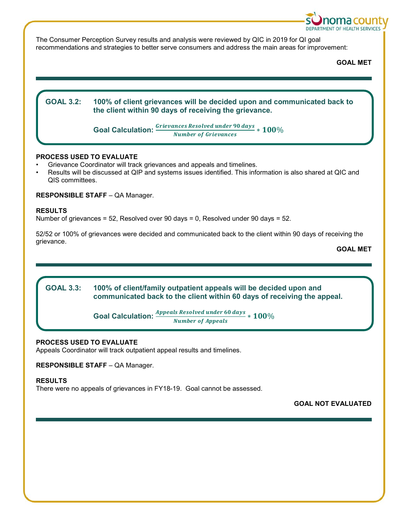

The Consumer Perception Survey results and analysis were reviewed by QIC in 2019 for QI goal recommendations and strategies to better serve consumers and address the main areas for improvement:

**GOAL MET**

# **GOAL 3.2: GOAL 3.2: 100% of client grievances will be decided upon and communicated back to the client within 90 days of receiving the grievance. Goal Calculation:**  $\frac{Grievances\ Resolved\ under\ 90\ days}{Number\ of\ Grievances} * 100\%$

# **PROCESS USED TO EVALUATE**

- Grievance Coordinator will track grievances and appeals and timelines.
- Results will be discussed at QIP and systems issues identified. This information is also shared at QIC and QIS committees.

# **RESPONSIBLE STAFF** – QA Manager.

# **RESULTS**

Number of grievances = 52, Resolved over 90 days = 0, Resolved under 90 days = 52.

52/52 or 100% of grievances were decided and communicated back to the client within 90 days of receiving the grievance.

**GOAL MET**

#### **GOAL 3.3:** 100% of client/family outpatient appeals will be decided upon and **communicated back to the client within 60 days of receiving the appeal.**

**Goal Calculation:**  $\frac{Appends\ Resolved\ under\ 60\ days}{Number\ of\ Appeals} * 100\%$ 

# **PROCESS USED TO EVALUATE**

Appeals Coordinator will track outpatient appeal results and timelines.

**RESPONSIBLE STAFF** – QA Manager.

# **RESULTS**

There were no appeals of grievances in FY18-19. Goal cannot be assessed.

**GOAL NOT EVALUATED**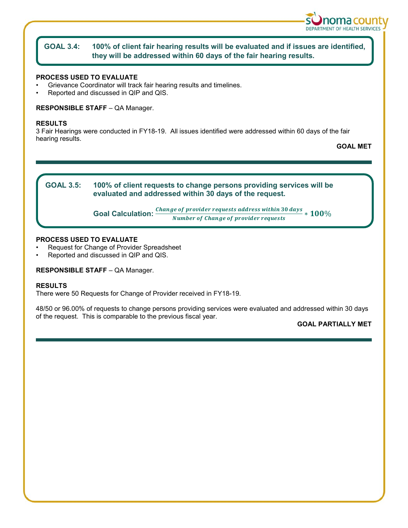

#### **GOAL 3.4: GOAL 3.4: 100% of client fair hearing results will be evaluated and if issues are identified, they will be addressed within 60 days of the fair hearing results.**

# **PROCESS USED TO EVALUATE**

- Grievance Coordinator will track fair hearing results and timelines.
- Reported and discussed in QIP and QIS.

### **RESPONSIBLE STAFF** – QA Manager.

### **RESULTS**

3 Fair Hearings were conducted in FY18-19. All issues identified were addressed within 60 days of the fair hearing results.

**GOAL MET**



# **PROCESS USED TO EVALUATE**

- Request for Change of Provider Spreadsheet
- Reported and discussed in QIP and QIS.

# **RESPONSIBLE STAFF** – QA Manager.

### **RESULTS**

There were 50 Requests for Change of Provider received in FY18-19.

48/50 or 96.00% of requests to change persons providing services were evaluated and addressed within 30 days of the request. This is comparable to the previous fiscal year.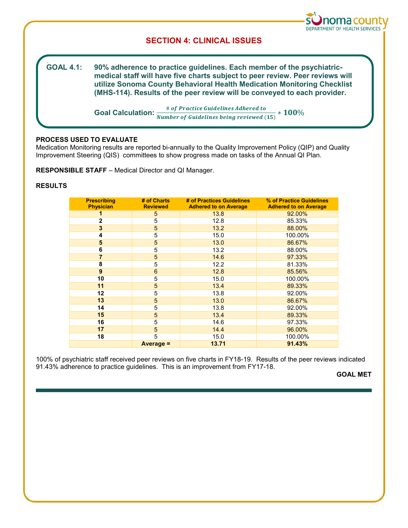

# **SECTION 4: CLINICAL ISSUES**

**GOAL 4.1:** 90% adherence to practice guidelines. Each member of the psychiatric**medical staff will have five charts subject to peer review. Peer reviews will utilize Sonoma County Behavioral Health Medication Monitoring Checklist (MHS-114). Results of the peer review will be conveyed to each provider.**

**Goal Calculation:**  $\frac{\text{\# of Practice Guidelines Adhered to}}{\text{Number of Guidelines being reviewed (15)}} * 100\%$ 

# **PROCESS USED TO EVALUATE**

Medication Monitoring results are reported bi-annually to the Quality Improvement Policy (QIP) and Quality Improvement Steering (QIS) committees to show progress made on tasks of the Annual QI Plan.

**RESPONSIBLE STAFF** – Medical Director and QI Manager.

# **RESULTS**

| <b>Prescribing</b><br><b>Physician</b> | # of Charts<br><b>Reviewed</b> | # of Practices Guidelines<br><b>Adhered to on Average</b> | % of Practice Guidelines<br><b>Adhered to on Average</b> |
|----------------------------------------|--------------------------------|-----------------------------------------------------------|----------------------------------------------------------|
|                                        | 5                              | 13.8                                                      | 92.00%                                                   |
| $\overline{2}$                         | 5                              | 12.8                                                      | 85.33%                                                   |
| 3                                      | $\overline{5}$                 | 13.2                                                      | 88.00%                                                   |
| 4                                      | 5                              | 15.0                                                      | 100.00%                                                  |
| 5                                      | 5                              | 13.0                                                      | 86.67%                                                   |
| 6                                      | 5                              | 13.2                                                      | 88.00%                                                   |
| 7                                      | $\overline{5}$                 | 14.6                                                      | 97.33%                                                   |
| 8                                      | $\overline{5}$                 | 12.2                                                      | 81.33%                                                   |
| 9                                      | $6\phantom{1}$                 | 12.8                                                      | 85.56%                                                   |
| 10                                     | 5                              | 15.0                                                      | 100.00%                                                  |
| 11                                     | $\overline{5}$                 | 13.4                                                      | 89.33%                                                   |
| 12                                     | 5                              | 13.8                                                      | 92.00%                                                   |
| 13                                     | $\overline{5}$                 | 13.0                                                      | 86.67%                                                   |
| 14                                     | 5                              | 13.8                                                      | 92.00%                                                   |
| 15                                     | $\overline{5}$                 | 13.4                                                      | 89.33%                                                   |
| 16                                     | 5                              | 14.6                                                      | 97.33%                                                   |
| 17                                     | $\overline{5}$                 | 14.4                                                      | 96.00%                                                   |
| 18                                     | 5                              | 15.0                                                      | 100.00%                                                  |
|                                        | Average =                      | 13.71                                                     | 91.43%                                                   |

100% of psychiatric staff received peer reviews on five charts in FY18-19. Results of the peer reviews indicated 91.43% adherence to practice guidelines. This is an improvement from FY17-18.

**GOAL MET**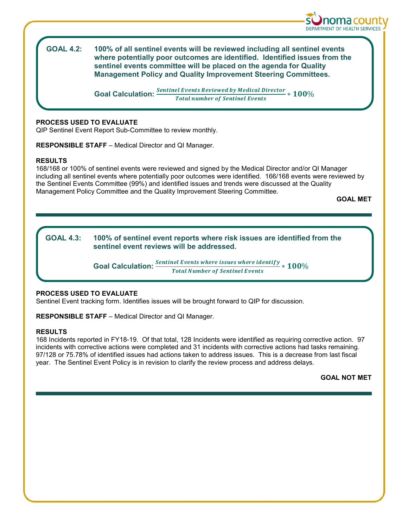

**GOAL 4.2:** 100% of all sentinel events will be reviewed including all sentinel events **where potentially poor outcomes are identified. Identified issues from the sentinel events committee will be placed on the agenda for Quality Management Policy and Quality Improvement Steering Committees.**

**Goal Calculation:**  $\frac{Sentinel\ Events\ Reviewed\ by\ Medical\ Director}{Total\ number\ of\ Sentin\ Events} * 100\%$ 

# **PROCESS USED TO EVALUATE**

QIP Sentinel Event Report Sub-Committee to review monthly.

**RESPONSIBLE STAFF** – Medical Director and QI Manager.

# **RESULTS**

168/168 or 100% of sentinel events were reviewed and signed by the Medical Director and/or QI Manager including all sentinel events where potentially poor outcomes were identified. 166/168 events were reviewed by the Sentinel Events Committee (99%) and identified issues and trends were discussed at the Quality Management Policy Committee and the Quality Improvement Steering Committee.

**GOAL MET**

# **GOAL 4.3: 100% of sentinel event reports where risk issues are identified from the sentinel event reviews will be addressed.**

**Goal Calculation:**  $\frac{Sentinel\ Events\ where\ issues\ where\ identity}{Total\ Number\ of\ Sentile\ levels} * 100\%$ 

# **PROCESS USED TO EVALUATE**

Sentinel Event tracking form. Identifies issues will be brought forward to QIP for discussion.

**RESPONSIBLE STAFF** – Medical Director and QI Manager.

# **RESULTS**

168 Incidents reported in FY18-19. Of that total, 128 Incidents were identified as requiring corrective action. 97 incidents with corrective actions were completed and 31 incidents with corrective actions had tasks remaining. 97/128 or 75.78% of identified issues had actions taken to address issues. This is a decrease from last fiscal year. The Sentinel Event Policy is in revision to clarify the review process and address delays.

**GOAL NOT MET**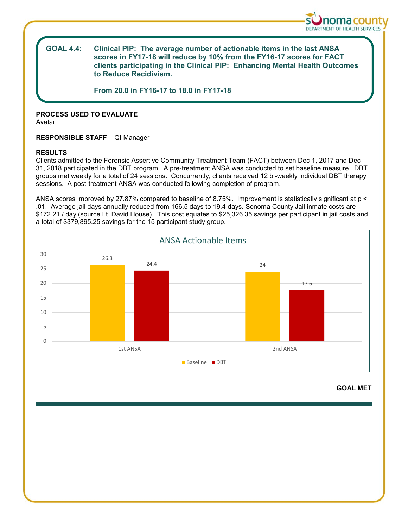

#### **GOAL 4.4: Clinical PIP: The average number of actionable items in the last ANSA scores in FY17-18 will reduce by 10% from the FY16-17 scores for FACT clients participating in the Clinical PIP: Enhancing Mental Health Outcomes to Reduce Recidivism.**

**From 20.0 in FY16-17 to 18.0 in FY17-18**

# **PROCESS USED TO EVALUATE**

Avatar

# **RESPONSIBLE STAFF** – QI Manager

### **RESULTS**

Clients admitted to the Forensic Assertive Community Treatment Team (FACT) between Dec 1, 2017 and Dec 31, 2018 participated in the DBT program. A pre-treatment ANSA was conducted to set baseline measure. DBT groups met weekly for a total of 24 sessions. Concurrently, clients received 12 bi-weekly individual DBT therapy sessions. A post-treatment ANSA was conducted following completion of program.

ANSA scores improved by 27.87% compared to baseline of 8.75%. Improvement is statistically significant at p < .01. Average jail days annually reduced from 166.5 days to 19.4 days. Sonoma County Jail inmate costs are \$172.21 / day (source Lt. David House). This cost equates to \$25,326.35 savings per participant in jail costs and a total of \$379,895.25 savings for the 15 participant study group.



# **GOAL MET**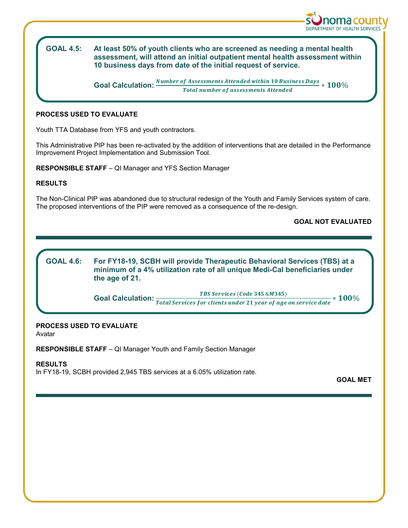

#### **GOAL 4.5: GOAL 4.5: At least 50% of youth clients who are screened as needing a mental health assessment, will attend an initial outpatient mental health assessment within 10 business days from date of the initial request of service.**

**Goal Calculation:**  $\frac{Number\ of\ Assessments\ Attended\ within\ 10\ Business\ Days}}{Total\ number\ of\ assessments\ Attended} * 100\%$ 

# **PROCESS USED TO EVALUATE**

Youth TTA Database from YFS and youth contractors.

This Administrative PIP has been re-activated by the addition of interventions that are detailed in the Performance Improvement Project Implementation and Submission Tool.

**RESPONSIBLE STAFF** – QI Manager and YFS Section Manager

# **RESULTS**

The Non-Clinical PIP was abandoned due to structural redesign of the Youth and Family Services system of care. The proposed interventions of the PIP were removed as a consequence of the re-design.

**GOAL NOT EVALUATED**

#### **GOAL 4.6: GOAL 4.6: For FY18-19, SCBH will provide Therapeutic Behavioral Services (TBS) at a minimum of a 4% utilization rate of all unique Medi-Cal beneficiaries under the age of 21.**

**Goal Calculation:**  $\frac{TBS~ Services~(Code~345~\&M345)}{Total~ Services~for clients under~21~year~of~age~on~service~date} * 100\%$ 

# **PROCESS USED TO EVALUATE**

Avatar

**RESPONSIBLE STAFF** – QI Manager Youth and Family Section Manager

# **RESULTS**

In FY18-19, SCBH provided 2,945 TBS services at a 6.05% utilization rate.

**GOAL MET**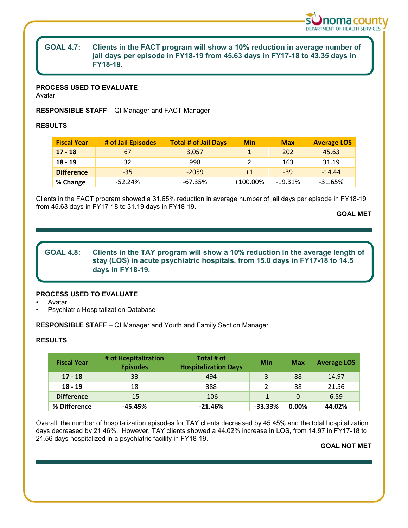

# **GOAL 4.7: Clients in the FACT program will show a 10% reduction in average number of jail days per episode in FY18-19 from 45.63 days in FY17-18 to 43.35 days in FY18-19.**

# **PROCESS USED TO EVALUATE**

Avatar

**RESPONSIBLE STAFF** – QI Manager and FACT Manager

# **RESULTS**

| <b>Fiscal Year</b> | # of Jail Episodes | <b>Total # of Jail Days</b> | <b>Min</b> | <b>Max</b> | <b>Average LOS</b> |
|--------------------|--------------------|-----------------------------|------------|------------|--------------------|
| $17 - 18$          | 67                 | 3.057                       |            | 202        | 45.63              |
| $18 - 19$          | 32                 | 998                         |            | 163        | 31.19              |
| <b>Difference</b>  | $-35$              | $-2059$                     | $+1$       | $-39$      | $-14.44$           |
| % Change           | $-52.24%$          | $-67.35%$                   | +100.00%   | $-19.31%$  | -31.65%            |

Clients in the FACT program showed a 31.65% reduction in average number of jail days per episode in FY18-19 from 45.63 days in FY17-18 to 31.19 days in FY18-19.

**GOAL MET**

**GOAL 4.8: Clients in the TAY program will show a 10% reduction in the average length of stay (LOS) in acute psychiatric hospitals, from 15.0 days in FY17-18 to 14.5 days in FY18-19.**

# **PROCESS USED TO EVALUATE**

• Avatar

• Psychiatric Hospitalization Database

**RESPONSIBLE STAFF** – QI Manager and Youth and Family Section Manager

# **RESULTS**

| <b>Fiscal Year</b> | # of Hospitalization<br><b>Episodes</b> | Total # of<br><b>Hospitalization Days</b> | Min        | <b>Max</b> | <b>Average LOS</b> |
|--------------------|-----------------------------------------|-------------------------------------------|------------|------------|--------------------|
| $17 - 18$          | 33                                      | 494                                       | 3          | 88         | 14.97              |
| $18 - 19$          | 18                                      | 388                                       |            | 88         | 21.56              |
| <b>Difference</b>  | $-15$                                   | $-106$                                    | $-1$       | $\Omega$   | 6.59               |
| % Difference       | $-45.45%$                               | $-21.46%$                                 | $-33.33\%$ | $0.00\%$   | 44.02%             |

Overall, the number of hospitalization episodes for TAY clients decreased by 45.45% and the total hospitalization days decreased by 21.46%. However, TAY clients showed a 44.02% increase in LOS, from 14.97 in FY17-18 to 21.56 days hospitalized in a psychiatric facility in FY18-19.

# **GOAL NOT MET**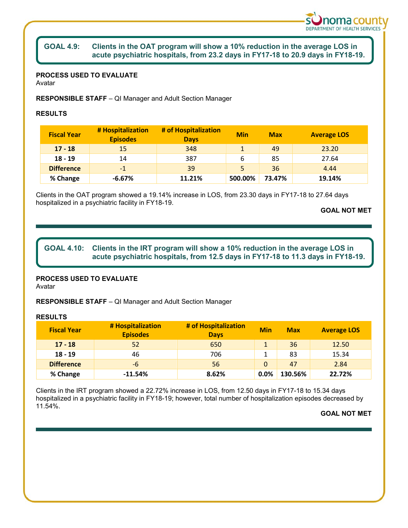

#### **GOAL 4.9: Clients in the OAT program will show a 10% reduction in the average LOS in acute psychiatric hospitals, from 23.2 days in FY17-18 to 20.9 days in FY18-19.**

# **PROCESS USED TO EVALUATE**

Avatar

**RESPONSIBLE STAFF** – QI Manager and Adult Section Manager

# **RESULTS**

| <b>Fiscal Year</b> | # Hospitalization<br><b>Episodes</b> | # of Hospitalization<br><b>Days</b> | <b>Min</b> | <b>Max</b> | <b>Average LOS</b> |
|--------------------|--------------------------------------|-------------------------------------|------------|------------|--------------------|
| $17 - 18$          | 15                                   | 348                                 |            | 49         | 23.20              |
| $18 - 19$          | 14                                   | 387                                 | 6          | 85         | 27.64              |
| <b>Difference</b>  | $-1$                                 | 39                                  | 5          | 36         | 4.44               |
| % Change           | $-6.67%$                             | 11.21%                              | 500.00%    | 73.47%     | 19.14%             |

Clients in the OAT program showed a 19.14% increase in LOS, from 23.30 days in FY17-18 to 27.64 days hospitalized in a psychiatric facility in FY18-19.

**GOAL NOT MET**

# GOAL 4.10: Clients in the IRT program will show a 10% reduction in the average LOS in **acute psychiatric hospitals, from 12.5 days in FY17-18 to 11.3 days in FY18-19.**

# **PROCESS USED TO EVALUATE**

Avatar

**RESPONSIBLE STAFF** – QI Manager and Adult Section Manager

# **RESULTS**

| <b>Fiscal Year</b> | # Hospitalization<br><b>Episodes</b> | # of Hospitalization<br><b>Days</b> | <b>Min</b> | <b>Max</b> | <b>Average LOS</b> |
|--------------------|--------------------------------------|-------------------------------------|------------|------------|--------------------|
| $17 - 18$          | 52                                   | 650                                 |            | 36         | 12.50              |
| $18 - 19$          | 46                                   | 706                                 |            | 83         | 15.34              |
| <b>Difference</b>  | -6                                   | 56                                  | $\Omega$   | 47         | 2.84               |
| % Change           | $-11.54%$                            | 8.62%                               | $0.0\%$    | 130.56%    | 22.72%             |

Clients in the IRT program showed a 22.72% increase in LOS, from 12.50 days in FY17-18 to 15.34 days hospitalized in a psychiatric facility in FY18-19; however, total number of hospitalization episodes decreased by 11.54%.

# **GOAL NOT MET**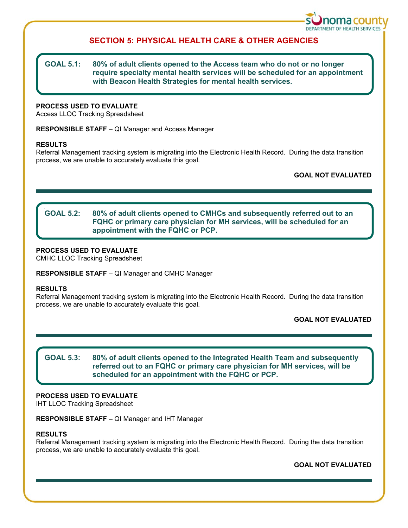

# **SECTION 5: PHYSICAL HEALTH CARE & OTHER AGENCIES**

# **GOAL 5.1: 80% of adult clients opened to the Access team who do not or no longer require specialty mental health services will be scheduled for an appointment with Beacon Health Strategies for mental health services.**

# **PROCESS USED TO EVALUATE**

Access LLOC Tracking Spreadsheet

**RESPONSIBLE STAFF** – QI Manager and Access Manager

### **RESULTS**

Referral Management tracking system is migrating into the Electronic Health Record. During the data transition process, we are unable to accurately evaluate this goal.

**GOAL NOT EVALUATED**

#### **GOAL 5.2:** 80% of adult clients opened to CMHCs and subsequently referred out to an **FQHC or primary care physician for MH services, will be scheduled for an appointment with the FQHC or PCP.**

# **PROCESS USED TO EVALUATE**

CMHC LLOC Tracking Spreadsheet

**RESPONSIBLE STAFF** – QI Manager and CMHC Manager

### **RESULTS**

Referral Management tracking system is migrating into the Electronic Health Record. During the data transition process, we are unable to accurately evaluate this goal.

**GOAL NOT EVALUATED**

**GOAL 5.3: GOAL 5.3: 80% of adult clients opened to the Integrated Health Team and subsequently referred out to an FQHC or primary care physician for MH services, will be scheduled for an appointment with the FQHC or PCP.**

# **PROCESS USED TO EVALUATE**

IHT LLOC Tracking Spreadsheet

**RESPONSIBLE STAFF** – QI Manager and IHT Manager

### **RESULTS**

Referral Management tracking system is migrating into the Electronic Health Record. During the data transition process, we are unable to accurately evaluate this goal.

**GOAL NOT EVALUATED**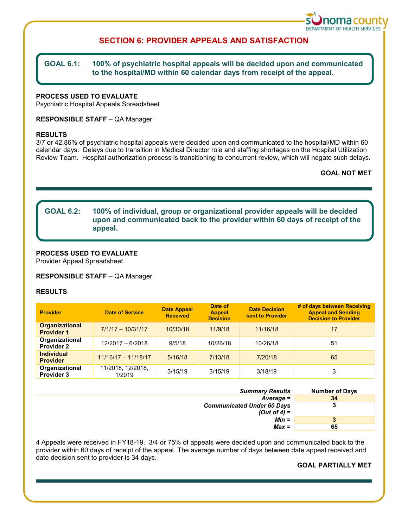

# **SECTION 6: PROVIDER APPEALS AND SATISFACTION**

#### **GOAL 6.1: GOAL 6.1: 100% of psychiatric hospital appeals will be decided upon and communicated to the hospital/MD within 60 calendar days from receipt of the appeal.**

# **PROCESS USED TO EVALUATE**

Psychiatric Hospital Appeals Spreadsheet

# **RESPONSIBLE STAFF** – QA Manager

#### **RESULTS**

3/7 or 42.86% of psychiatric hospital appeals were decided upon and communicated to the hospital/MD within 60 calendar days. Delays due to transition in Medical Director role and staffing shortages on the Hospital Utilization Review Team. Hospital authorization process is transitioning to concurrent review, which will negate such delays.

# **GOAL NOT MET**

# **GOAL 6.2: 100% of individual, group or organizational provider appeals will be decided upon and communicated back to the provider within 60 days of receipt of the appeal.**

# **PROCESS USED TO EVALUATE**

Provider Appeal Spreadsheet

### **RESPONSIBLE STAFF** – QA Manager

### **RESULTS**

| <b>Provider</b>                            | <b>Date of Service</b>      | <b>Date Appeal</b><br><b>Received</b> | Date of<br><b>Appeal</b><br><b>Decision</b> | <b>Date Decision</b><br>sent to Provider | # of days between Receiving<br><b>Appeal and Sending</b><br><b>Decision to Provider</b> |
|--------------------------------------------|-----------------------------|---------------------------------------|---------------------------------------------|------------------------------------------|-----------------------------------------------------------------------------------------|
| <b>Organizational</b><br><b>Provider 1</b> | $7/1/17 - 10/31/17$         | 10/30/18                              | 11/9/18                                     | 11/16/18                                 | 17                                                                                      |
| Organizational<br><b>Provider 2</b>        | 12/2017 - 6/2018            | 9/5/18                                | 10/26/18                                    | 10/26/18                                 | 51                                                                                      |
| <b>Individual</b><br><b>Provider</b>       | $11/16/17 - 11/18/17$       | 5/16/18                               | 7/13/18                                     | 7/20/18                                  | 65                                                                                      |
| Organizational<br><b>Provider 3</b>        | 11/2018, 12/2018,<br>1/2019 | 3/15/19                               | 3/15/19                                     | 3/18/19                                  | 3                                                                                       |

| <b>Summary Results</b>                              | <b>Number of Days</b> |
|-----------------------------------------------------|-----------------------|
| $Average =$                                         | 34                    |
| <b>Communicated Under 60 Days</b><br>(Out of 4) $=$ | 3                     |
| $Min =$                                             | 3                     |
| $Max =$                                             | 65                    |

4 Appeals were received in FY18-19. 3/4 or 75% of appeals were decided upon and communicated back to the provider within 60 days of receipt of the appeal. The average number of days between date appeal received and date decision sent to provider is 34 days.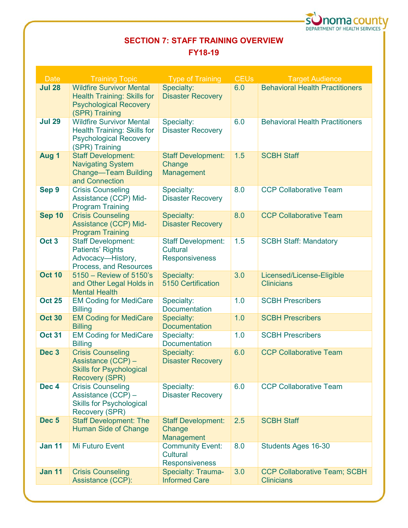

# **SECTION 7: STAFF TRAINING OVERVIEW**

# **FY18-19**

| <b>Date</b>      | <b>Training Topic</b>                                                                                                    | <b>Type of Training</b>                                        | <b>CEUs</b> | <b>Target Audience</b>                                   |
|------------------|--------------------------------------------------------------------------------------------------------------------------|----------------------------------------------------------------|-------------|----------------------------------------------------------|
| <b>Jul 28</b>    | <b>Wildfire Survivor Mental</b><br><b>Health Training: Skills for</b><br><b>Psychological Recovery</b><br>(SPR) Training | Specialty:<br><b>Disaster Recovery</b>                         | 6.0         | <b>Behavioral Health Practitioners</b>                   |
| <b>Jul 29</b>    | <b>Wildfire Survivor Mental</b><br>Health Training: Skills for<br><b>Psychological Recovery</b><br>(SPR) Training        | Specialty:<br><b>Disaster Recovery</b>                         | 6.0         | <b>Behavioral Health Practitioners</b>                   |
| Aug 1            | <b>Staff Development:</b><br><b>Navigating System</b><br><b>Change-Team Building</b><br>and Connection                   | <b>Staff Development:</b><br>Change<br>Management              | 1.5         | <b>SCBH Staff</b>                                        |
| Sep 9            | <b>Crisis Counseling</b><br>Assistance (CCP) Mid-<br><b>Program Training</b>                                             | Specialty:<br><b>Disaster Recovery</b>                         | 8.0         | <b>CCP Collaborative Team</b>                            |
| <b>Sep 10</b>    | <b>Crisis Counseling</b><br>Assistance (CCP) Mid-<br><b>Program Training</b>                                             | Specialty:<br><b>Disaster Recovery</b>                         | 8.0         | <b>CCP Collaborative Team</b>                            |
| Oct <sub>3</sub> | <b>Staff Development:</b><br><b>Patients' Rights</b><br>Advocacy-History,<br>Process, and Resources                      | <b>Staff Development:</b><br>Cultural<br><b>Responsiveness</b> | 1.5         | <b>SCBH Staff: Mandatory</b>                             |
| <b>Oct 10</b>    | 5150 - Review of 5150's<br>and Other Legal Holds in<br><b>Mental Health</b>                                              | Specialty:<br><b>5150 Certification</b>                        | 3.0         | Licensed/License-Eligible<br><b>Clinicians</b>           |
| <b>Oct 25</b>    | <b>EM Coding for MediCare</b><br><b>Billing</b>                                                                          | Specialty:<br><b>Documentation</b>                             | 1.0         | <b>SCBH Prescribers</b>                                  |
| <b>Oct 30</b>    | <b>EM Coding for MediCare</b><br><b>Billing</b>                                                                          | Specialty:<br><b>Documentation</b>                             | 1.0         | <b>SCBH Prescribers</b>                                  |
| <b>Oct 31</b>    | <b>EM Coding for MediCare</b><br><b>Billing</b>                                                                          | Specialty:<br>Documentation                                    | 1.0         | <b>SCBH Prescribers</b>                                  |
| Dec <sub>3</sub> | <b>Crisis Counseling</b><br>Assistance (CCP) -<br><b>Skills for Psychological</b><br><b>Recovery (SPR)</b>               | Specialty:<br><b>Disaster Recovery</b>                         | 6.0         | <b>CCP Collaborative Team</b>                            |
| Dec <sub>4</sub> | <b>Crisis Counseling</b><br>Assistance (CCP) -<br><b>Skills for Psychological</b><br><b>Recovery (SPR)</b>               | Specialty:<br><b>Disaster Recovery</b>                         | 6.0         | <b>CCP Collaborative Team</b>                            |
| Dec <sub>5</sub> | <b>Staff Development: The</b><br><b>Human Side of Change</b>                                                             | <b>Staff Development:</b><br>Change<br>Management              | 2.5         | <b>SCBH Staff</b>                                        |
| <b>Jan 11</b>    | Mi Futuro Event                                                                                                          | <b>Community Event:</b><br>Cultural<br><b>Responsiveness</b>   | 8.0         | Students Ages 16-30                                      |
| <b>Jan 11</b>    | <b>Crisis Counseling</b><br>Assistance (CCP):                                                                            | Specialty: Trauma-<br><b>Informed Care</b>                     | 3.0         | <b>CCP Collaborative Team; SCBH</b><br><b>Clinicians</b> |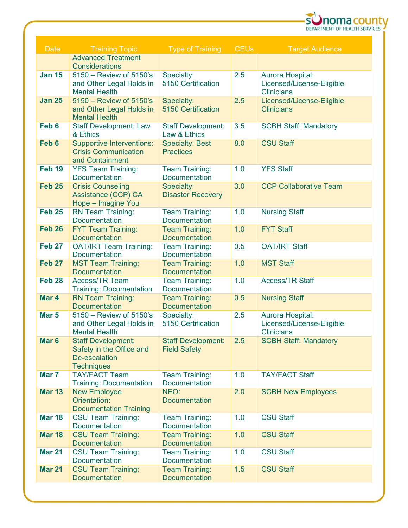

| <b>Date</b>      | <b>Training Topic</b>                                   | <b>Type of Training</b>                       | <b>CEUs</b> | <b>Target Audience</b>                            |
|------------------|---------------------------------------------------------|-----------------------------------------------|-------------|---------------------------------------------------|
|                  | <b>Advanced Treatment</b><br>Considerations             |                                               |             |                                                   |
| <b>Jan 15</b>    | 5150 - Review of 5150's                                 | Specialty:                                    | 2.5         | Aurora Hospital:                                  |
|                  | and Other Legal Holds in                                | 5150 Certification                            |             | Licensed/License-Eligible                         |
|                  | <b>Mental Health</b>                                    |                                               |             | <b>Clinicians</b>                                 |
| <b>Jan 25</b>    | 5150 - Review of 5150's                                 | Specialty:                                    | 2.5         | Licensed/License-Eligible                         |
|                  | and Other Legal Holds in                                | 5150 Certification                            |             | <b>Clinicians</b>                                 |
| Feb <sub>6</sub> | <b>Mental Health</b><br><b>Staff Development: Law</b>   | <b>Staff Development:</b>                     | 3.5         | <b>SCBH Staff: Mandatory</b>                      |
|                  | & Ethics                                                | Law & Ethics                                  |             |                                                   |
| Feb <sub>6</sub> | <b>Supportive Interventions:</b>                        | <b>Specialty: Best</b>                        | 8.0         | <b>CSU Staff</b>                                  |
|                  | <b>Crisis Communication</b>                             | <b>Practices</b>                              |             |                                                   |
|                  | and Containment                                         |                                               |             |                                                   |
| <b>Feb 19</b>    | <b>YFS Team Training:</b><br>Documentation              | <b>Team Training:</b><br><b>Documentation</b> | 1.0         | <b>YFS Staff</b>                                  |
| <b>Feb 25</b>    | <b>Crisis Counseling</b>                                | Specialty:                                    | 3.0         | <b>CCP Collaborative Team</b>                     |
|                  | Assistance (CCP) CA                                     | <b>Disaster Recovery</b>                      |             |                                                   |
|                  | Hope - Imagine You                                      |                                               |             |                                                   |
| <b>Feb 25</b>    | <b>RN Team Training:</b>                                | <b>Team Training:</b>                         | 1.0         | <b>Nursing Staff</b>                              |
| <b>Feb 26</b>    | Documentation                                           | <b>Documentation</b>                          | 1.0         |                                                   |
|                  | <b>FYT Team Training:</b><br><b>Documentation</b>       | <b>Team Training:</b><br><b>Documentation</b> |             | <b>FYT Staff</b>                                  |
| <b>Feb 27</b>    | <b>OAT/IRT Team Training:</b>                           | Team Training:                                | 0.5         | <b>OAT/IRT Staff</b>                              |
|                  | <b>Documentation</b>                                    | <b>Documentation</b>                          |             |                                                   |
| <b>Feb 27</b>    | <b>MST Team Training:</b>                               | <b>Team Training:</b>                         | 1.0         | <b>MST Staff</b>                                  |
|                  | <b>Documentation</b>                                    | <b>Documentation</b>                          |             |                                                   |
| <b>Feb 28</b>    | <b>Access/TR Team</b><br><b>Training: Documentation</b> | <b>Team Training:</b><br>Documentation        | 1.0         | <b>Access/TR Staff</b>                            |
| Mar 4            | <b>RN Team Training:</b>                                | <b>Team Training:</b>                         | 0.5         | <b>Nursing Staff</b>                              |
|                  | <b>Documentation</b>                                    | <b>Documentation</b>                          |             |                                                   |
| Mar <sub>5</sub> | 5150 - Review of 5150's                                 | Specialty:                                    | 2.5         | Aurora Hospital:                                  |
|                  | and Other Legal Holds in                                | 5150 Certification                            |             | Licensed/License-Eligible                         |
| Mar <sub>6</sub> | <b>Mental Health</b><br><b>Staff Development:</b>       | Staff Development: 2.5                        |             | <b>Clinicians</b><br><b>SCBH Staff: Mandatory</b> |
|                  | Safety in the Office and                                | <b>Field Safety</b>                           |             |                                                   |
|                  | De-escalation                                           |                                               |             |                                                   |
|                  | <b>Techniques</b>                                       |                                               |             |                                                   |
| Mar 7            | <b>TAY/FACT Team</b>                                    | <b>Team Training:</b>                         | 1.0         | <b>TAY/FACT Staff</b>                             |
| <b>Mar 13</b>    | <b>Training: Documentation</b><br><b>New Employee</b>   | <b>Documentation</b><br>NEO:                  | 2.0         |                                                   |
|                  | Orientation:                                            | <b>Documentation</b>                          |             | <b>SCBH New Employees</b>                         |
|                  | <b>Documentation Training</b>                           |                                               |             |                                                   |
| <b>Mar 18</b>    | <b>CSU Team Training:</b>                               | <b>Team Training:</b>                         | 1.0         | <b>CSU Staff</b>                                  |
|                  | <b>Documentation</b>                                    | <b>Documentation</b>                          |             |                                                   |
| <b>Mar 18</b>    | <b>CSU Team Training:</b><br><b>Documentation</b>       | <b>Team Training:</b><br><b>Documentation</b> | 1.0         | <b>CSU Staff</b>                                  |
| <b>Mar 21</b>    | <b>CSU Team Training:</b>                               | <b>Team Training:</b>                         | 1.0         | <b>CSU Staff</b>                                  |
|                  | <b>Documentation</b>                                    | <b>Documentation</b>                          |             |                                                   |
| <b>Mar 21</b>    | <b>CSU Team Training:</b>                               | <b>Team Training:</b>                         | 1.5         | <b>CSU Staff</b>                                  |
|                  | <b>Documentation</b>                                    | <b>Documentation</b>                          |             |                                                   |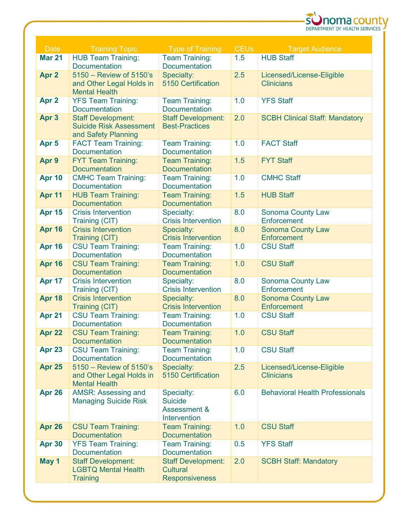

| <b>Mar 21</b><br><b>HUB Team Training:</b><br><b>Team Training:</b><br><b>HUB Staff</b><br>1.5<br>Documentation<br><b>Documentation</b><br>5150 - Review of 5150's<br>2.5<br>Apr <sub>2</sub><br>Specialty:<br>Licensed/License-Eligible<br>5150 Certification<br><b>Clinicians</b><br>and Other Legal Holds in<br><b>Mental Health</b><br>Apr <sub>2</sub><br>1.0<br><b>YFS Staff</b><br><b>YFS Team Training:</b><br><b>Team Training:</b><br><b>Documentation</b><br><b>Documentation</b><br>2.0<br>Apr 3<br><b>Staff Development:</b><br><b>Staff Development:</b><br><b>SCBH Clinical Staff: Mandatory</b><br><b>Suicide Risk Assessment</b><br><b>Best-Practices</b><br>and Safety Planning |
|---------------------------------------------------------------------------------------------------------------------------------------------------------------------------------------------------------------------------------------------------------------------------------------------------------------------------------------------------------------------------------------------------------------------------------------------------------------------------------------------------------------------------------------------------------------------------------------------------------------------------------------------------------------------------------------------------|
|                                                                                                                                                                                                                                                                                                                                                                                                                                                                                                                                                                                                                                                                                                   |
|                                                                                                                                                                                                                                                                                                                                                                                                                                                                                                                                                                                                                                                                                                   |
|                                                                                                                                                                                                                                                                                                                                                                                                                                                                                                                                                                                                                                                                                                   |
|                                                                                                                                                                                                                                                                                                                                                                                                                                                                                                                                                                                                                                                                                                   |
|                                                                                                                                                                                                                                                                                                                                                                                                                                                                                                                                                                                                                                                                                                   |
|                                                                                                                                                                                                                                                                                                                                                                                                                                                                                                                                                                                                                                                                                                   |
|                                                                                                                                                                                                                                                                                                                                                                                                                                                                                                                                                                                                                                                                                                   |
|                                                                                                                                                                                                                                                                                                                                                                                                                                                                                                                                                                                                                                                                                                   |
|                                                                                                                                                                                                                                                                                                                                                                                                                                                                                                                                                                                                                                                                                                   |
| 1.0<br><b>FACT Staff</b><br>Apr <sub>5</sub><br><b>Team Training:</b><br><b>FACT Team Training:</b><br><b>Documentation</b><br><b>Documentation</b>                                                                                                                                                                                                                                                                                                                                                                                                                                                                                                                                               |
| Apr 9<br><b>FYT Team Training:</b><br><b>Team Training:</b><br>1.5<br><b>FYT Staff</b>                                                                                                                                                                                                                                                                                                                                                                                                                                                                                                                                                                                                            |
| <b>Documentation</b><br><b>Documentation</b>                                                                                                                                                                                                                                                                                                                                                                                                                                                                                                                                                                                                                                                      |
| <b>Apr 10</b><br><b>CMHC Team Training:</b><br>1.0<br><b>Team Training:</b><br><b>CMHC Staff</b>                                                                                                                                                                                                                                                                                                                                                                                                                                                                                                                                                                                                  |
| Documentation<br><b>Documentation</b>                                                                                                                                                                                                                                                                                                                                                                                                                                                                                                                                                                                                                                                             |
| 1.5<br>Apr 11<br><b>HUB Team Training:</b><br><b>HUB Staff</b><br><b>Team Training:</b>                                                                                                                                                                                                                                                                                                                                                                                                                                                                                                                                                                                                           |
| <b>Documentation</b><br><b>Documentation</b><br>8.0<br><b>Apr 15</b><br><b>Crisis Intervention</b><br>Specialty:<br>Sonoma County Law                                                                                                                                                                                                                                                                                                                                                                                                                                                                                                                                                             |
| <b>Crisis Intervention</b><br>Enforcement<br>Training (CIT)                                                                                                                                                                                                                                                                                                                                                                                                                                                                                                                                                                                                                                       |
| <b>Crisis Intervention</b><br>8.0<br><b>Apr 16</b><br>Specialty:<br><b>Sonoma County Law</b>                                                                                                                                                                                                                                                                                                                                                                                                                                                                                                                                                                                                      |
| <b>Crisis Intervention</b><br>Enforcement<br>Training (CIT)                                                                                                                                                                                                                                                                                                                                                                                                                                                                                                                                                                                                                                       |
| <b>Apr 16</b><br>1.0<br><b>CSU Staff</b><br><b>CSU Team Training:</b><br><b>Team Training:</b>                                                                                                                                                                                                                                                                                                                                                                                                                                                                                                                                                                                                    |
| Documentation<br><b>Documentation</b>                                                                                                                                                                                                                                                                                                                                                                                                                                                                                                                                                                                                                                                             |
| <b>Apr 16</b><br><b>CSU Team Training:</b><br>1.0<br><b>CSU Staff</b><br><b>Team Training:</b><br><b>Documentation</b><br><b>Documentation</b>                                                                                                                                                                                                                                                                                                                                                                                                                                                                                                                                                    |
| 8.0<br>Apr 17<br><b>Crisis Intervention</b><br>Specialty:<br>Sonoma County Law                                                                                                                                                                                                                                                                                                                                                                                                                                                                                                                                                                                                                    |
| <b>Crisis Intervention</b><br>Enforcement<br>Training (CIT)                                                                                                                                                                                                                                                                                                                                                                                                                                                                                                                                                                                                                                       |
| <b>Crisis Intervention</b><br>Apr 18<br>Specialty:<br>8.0<br><b>Sonoma County Law</b>                                                                                                                                                                                                                                                                                                                                                                                                                                                                                                                                                                                                             |
| <b>Crisis Intervention</b><br>Enforcement<br>Training (CIT)                                                                                                                                                                                                                                                                                                                                                                                                                                                                                                                                                                                                                                       |
| 1.0<br>Apr 21<br><b>CSU Team Training:</b><br><b>CSU Staff</b><br><b>Team Training:</b>                                                                                                                                                                                                                                                                                                                                                                                                                                                                                                                                                                                                           |
| <b>Documentation</b><br><b>Documentation</b><br>1.0<br>Apr 22<br><b>CSU Team Training:</b><br><b>CSU Staff</b><br><b>Team Training:</b>                                                                                                                                                                                                                                                                                                                                                                                                                                                                                                                                                           |
| <b>Documentation</b><br><b>Documentation</b>                                                                                                                                                                                                                                                                                                                                                                                                                                                                                                                                                                                                                                                      |
| Apr 23<br>1.0<br><b>CSU Staff</b><br><b>CSU Team Training:</b><br><b>Team Training:</b>                                                                                                                                                                                                                                                                                                                                                                                                                                                                                                                                                                                                           |
| <b>Documentation</b><br><b>Documentation</b>                                                                                                                                                                                                                                                                                                                                                                                                                                                                                                                                                                                                                                                      |
| 5150 - Review of 5150's<br>2.5<br><b>Apr 25</b><br>Specialty:<br>Licensed/License-Eligible                                                                                                                                                                                                                                                                                                                                                                                                                                                                                                                                                                                                        |
| 5150 Certification<br>and Other Legal Holds in<br><b>Clinicians</b><br><b>Mental Health</b>                                                                                                                                                                                                                                                                                                                                                                                                                                                                                                                                                                                                       |
| Apr 26<br>AMSR: Assessing and<br>6.0<br><b>Behavioral Health Professionals</b><br>Specialty:                                                                                                                                                                                                                                                                                                                                                                                                                                                                                                                                                                                                      |
| <b>Suicide</b><br><b>Managing Suicide Risk</b>                                                                                                                                                                                                                                                                                                                                                                                                                                                                                                                                                                                                                                                    |
| Assessment &                                                                                                                                                                                                                                                                                                                                                                                                                                                                                                                                                                                                                                                                                      |
| Intervention                                                                                                                                                                                                                                                                                                                                                                                                                                                                                                                                                                                                                                                                                      |
| 1.0<br><b>CSU Staff</b><br>Apr 26<br><b>CSU Team Training:</b><br><b>Team Training:</b>                                                                                                                                                                                                                                                                                                                                                                                                                                                                                                                                                                                                           |
| <b>Documentation</b><br><b>Documentation</b><br><b>YFS Team Training:</b><br>0.5<br><b>YFS Staff</b><br><b>Team Training:</b><br><b>Apr 30</b>                                                                                                                                                                                                                                                                                                                                                                                                                                                                                                                                                    |
| <b>Documentation</b><br><b>Documentation</b>                                                                                                                                                                                                                                                                                                                                                                                                                                                                                                                                                                                                                                                      |
| May 1<br><b>Staff Development:</b><br>2.0<br><b>Staff Development:</b><br><b>SCBH Staff: Mandatory</b>                                                                                                                                                                                                                                                                                                                                                                                                                                                                                                                                                                                            |
| <b>LGBTQ Mental Health</b><br>Cultural                                                                                                                                                                                                                                                                                                                                                                                                                                                                                                                                                                                                                                                            |
| <b>Training</b><br><b>Responsiveness</b>                                                                                                                                                                                                                                                                                                                                                                                                                                                                                                                                                                                                                                                          |